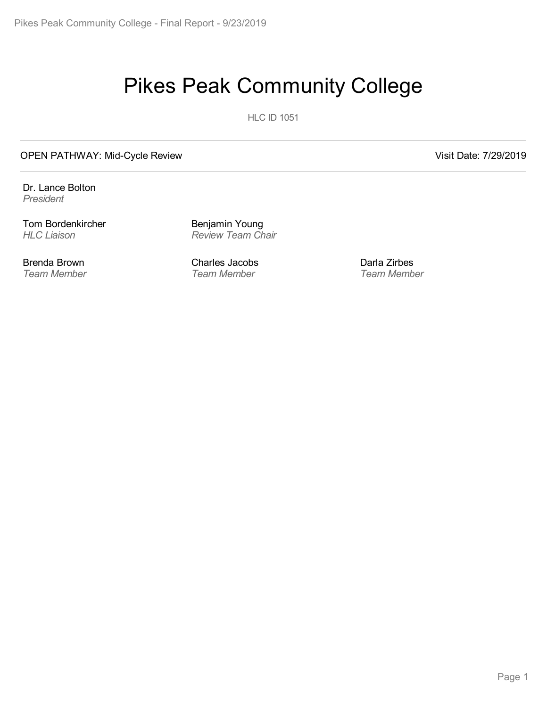# Pikes Peak Community College

**HLC ID 1051** 

#### OPEN PATHWAY: Mid-Cycle Review Visit Date: 7/29/2019

Dr. Lance Bolton *President*

Tom Bordenkircher *HLC Liaison*

Brenda Brown *Team Member* Benjamin Young *Review Team Chair*

Charles Jacobs *Team Member*

Darla Zirbes *Team Member*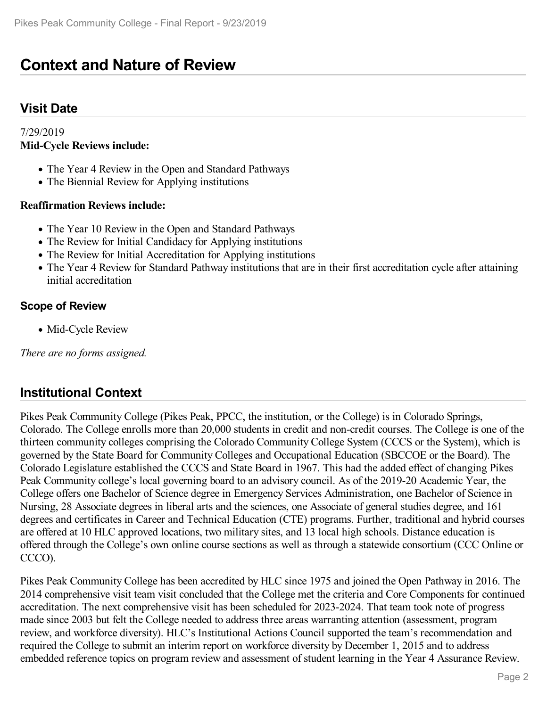# **Context and Nature of Review**

#### **Visit Date**

#### 7/29/2019 **Mid-Cycle Reviews include:**

- The Year 4 Review in the Open and Standard Pathways
- The Biennial Review for Applying institutions

#### **Reaffirmation Reviews include:**

- The Year 10 Review in the Open and Standard Pathways
- The Review for Initial Candidacy for Applying institutions
- The Review for Initial Accreditation for Applying institutions
- The Year 4 Review for Standard Pathway institutions that are in their first accreditation cycle after attaining initial accreditation

#### **Scope of Review**

• Mid-Cycle Review

*There are no forms assigned.*

#### **Institutional Context**

Pikes Peak Community College (Pikes Peak, PPCC, the institution, or the College) is in Colorado Springs, Colorado. The College enrolls more than 20,000 students in credit and non-credit courses. The College is one of the thirteen community colleges comprising the Colorado Community College System (CCCS or the System), which is governed by the State Board for Community Colleges and Occupational Education (SBCCOE or the Board). The Colorado Legislature established the CCCS and State Board in 1967. This had the added effect of changing Pikes Peak Community college's local governing board to an advisory council. As of the 2019-20 Academic Year, the College offers one Bachelor of Science degree in Emergency Services Administration, one Bachelor of Science in Nursing, 28 Associate degrees in liberal arts and the sciences, one Associate of general studies degree, and 161 degrees and certificates in Career and Technical Education (CTE) programs. Further, traditional and hybrid courses are offered at 10 HLC approved locations, two military sites, and 13 local high schools. Distance education is offered through the College's own online course sections as well as through a statewide consortium (CCC Online or CCCO).

Pikes Peak Community College has been accredited by HLC since 1975 and joined the Open Pathway in 2016. The 2014 comprehensive visit team visit concluded that the College met the criteria and Core Components for continued accreditation. The next comprehensive visit has been scheduled for 2023-2024. That team took note of progress made since 2003 but felt the College needed to address three areas warranting attention (assessment, program review, and workforce diversity). HLC's Institutional Actions Council supported the team's recommendation and required the College to submit an interim report on workforce diversity by December 1, 2015 and to address embedded reference topics on program review and assessment of student learning in the Year 4 Assurance Review.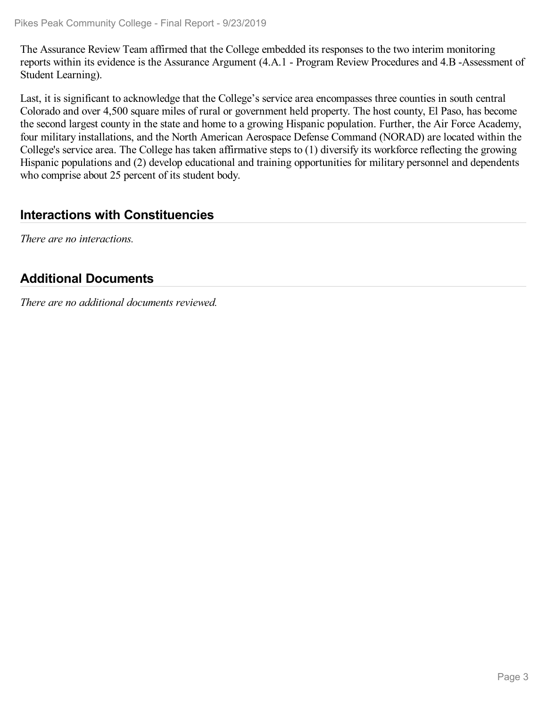The Assurance Review Team affirmed that the College embedded its responses to the two interim monitoring reports within its evidence is the Assurance Argument (4.A.1 - Program Review Procedures and 4.B -Assessment of Student Learning).

Last, it is significant to acknowledge that the College's service area encompasses three counties in south central Colorado and over 4,500 square miles of rural or government held property. The host county, El Paso, has become the second largest county in the state and home to a growing Hispanic population. Further, the Air Force Academy, four military installations, and the North American Aerospace Defense Command (NORAD) are located within the College's service area. The College has taken affirmative steps to (1) diversify its workforce reflecting the growing Hispanic populations and (2) develop educational and training opportunities for military personnel and dependents who comprise about 25 percent of its student body.

#### **Interactions with Constituencies**

*There are no interactions.*

### **Additional Documents**

*There are no additional documents reviewed.*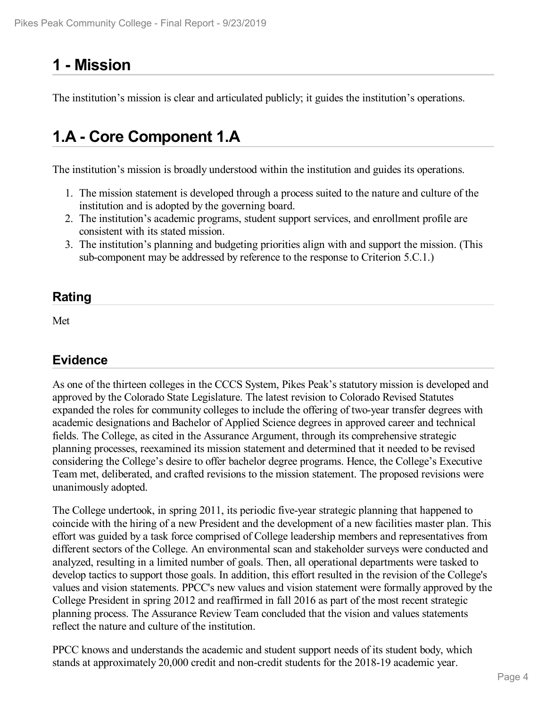# **1 -Mission**

The institution's mission is clear and articulated publicly; it guides the institution's operations.

# **1.A - Core Component 1.A**

The institution's mission is broadly understood within the institution and guides its operations.

- 1. The mission statement is developed through a process suited to the nature and culture of the institution and is adopted by the governing board.
- 2. The institution's academic programs, student support services, and enrollment profile are consistent with its stated mission.
- 3. The institution's planning and budgeting priorities align with and support the mission. (This sub-component may be addressed by reference to the response to Criterion 5.C.1.)

#### **Rating**

Met

## **Evidence**

As one of the thirteen colleges in the CCCS System, Pikes Peak's statutory mission is developed and approved by the Colorado State Legislature. The latest revision to Colorado Revised Statutes expanded the roles for community colleges to include the offering of two-year transfer degrees with academic designations and Bachelor of Applied Science degrees in approved career and technical fields. The College, as cited in the Assurance Argument, through its comprehensive strategic planning processes, reexamined its mission statement and determined that it needed to be revised considering the College's desire to offer bachelor degree programs. Hence, the College's Executive Team met, deliberated, and crafted revisions to the mission statement. The proposed revisions were unanimously adopted.

The College undertook, in spring 2011, its periodic five-year strategic planning that happened to coincide with the hiring of a new President and the development of a new facilities master plan. This effort was guided by a task force comprised of College leadership members and representatives from different sectors of the College. An environmental scan and stakeholder surveys were conducted and analyzed, resulting in a limited number of goals. Then, all operational departments were tasked to develop tactics to support those goals. In addition, this effort resulted in the revision of the College's values and vision statements. PPCC's new values and vision statement were formally approved by the College President in spring 2012 and reaffirmed in fall 2016 as part of the most recent strategic planning process. The Assurance Review Team concluded that the vision and values statements reflect the nature and culture of the institution.

PPCC knows and understands the academic and student support needs of its student body, which stands at approximately 20,000 credit and non-credit students for the 2018-19 academic year.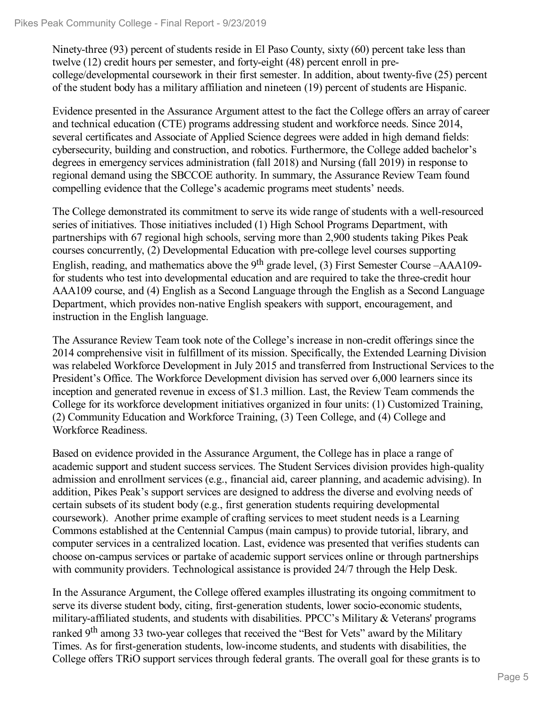Ninety-three (93) percent of students reside in El Paso County, sixty (60) percent take less than twelve (12) credit hours per semester, and forty-eight (48) percent enroll in precollege/developmental coursework in their first semester. In addition, about twenty-five (25) percent of the student body has a military affiliation and nineteen (19) percent of students are Hispanic.

Evidence presented in the Assurance Argument attest to the fact the College offers an array of career and technical education (CTE) programs addressing student and workforce needs. Since 2014, several certificates and Associate of Applied Science degrees were added in high demand fields: cybersecurity, building and construction, and robotics. Furthermore, the College added bachelor's degrees in emergency services administration (fall 2018) and Nursing (fall 2019) in response to regional demand using the SBCCOE authority. In summary, the Assurance Review Team found compelling evidence that the College's academic programs meet students' needs.

The College demonstrated its commitment to serve its wide range of students with a well-resourced series of initiatives. Those initiatives included (1) High School Programs Department, with partnerships with 67 regional high schools, serving more than 2,900 students taking Pikes Peak courses concurrently, (2) Developmental Education with pre-college level courses supporting English, reading, and mathematics above the 9<sup>th</sup> grade level, (3) First Semester Course -AAA109for students who test into developmental education and are required to take the three-credit hour AAA109 course, and (4) English as a Second Language through the English as a Second Language Department, which provides non-native English speakers with support, encouragement, and instruction in the English language.

The Assurance Review Team took note of the College's increase in non-credit offerings since the 2014 comprehensive visit in fulfillment of its mission. Specifically, the Extended Learning Division was relabeled Workforce Development in July 2015 and transferred from Instructional Services to the President's Office. The Workforce Development division has served over 6,000 learners since its inception and generated revenue in excess of \$1.3 million. Last, the Review Team commends the College for its workforce development initiatives organized in four units: (1) Customized Training, (2) Community Education and Workforce Training, (3) Teen College, and (4) College and Workforce Readiness.

Based on evidence provided in the Assurance Argument, the College has in place a range of academic support and student success services. The Student Services division provides high-quality admission and enrollment services (e.g., financial aid, career planning, and academic advising). In addition, Pikes Peak's support services are designed to address the diverse and evolving needs of certain subsets of its student body (e.g., first generation students requiring developmental coursework). Another prime example of crafting services to meet student needs is a Learning Commons established at the Centennial Campus (main campus) to provide tutorial, library, and computer services in a centralized location. Last, evidence was presented that verifies students can choose on-campus services or partake of academic support services online or through partnerships with community providers. Technological assistance is provided 24/7 through the Help Desk.

In the Assurance Argument, the College offered examples illustrating its ongoing commitment to serve its diverse student body, citing, first-generation students, lower socio-economic students, military-affiliated students, and students with disabilities. PPCC's Military & Veterans' programs ranked 9<sup>th</sup> among 33 two-year colleges that received the "Best for Vets" award by the Military Times. As for first-generation students, low-income students, and students with disabilities, the College offers TRiO support services through federal grants. The overall goal for these grants is to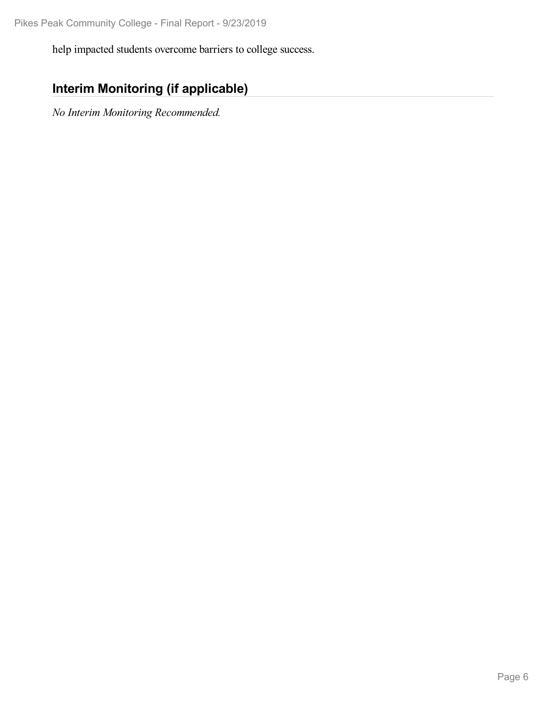help impacted students overcome barriers to college success.

## **Interim Monitoring (if applicable)**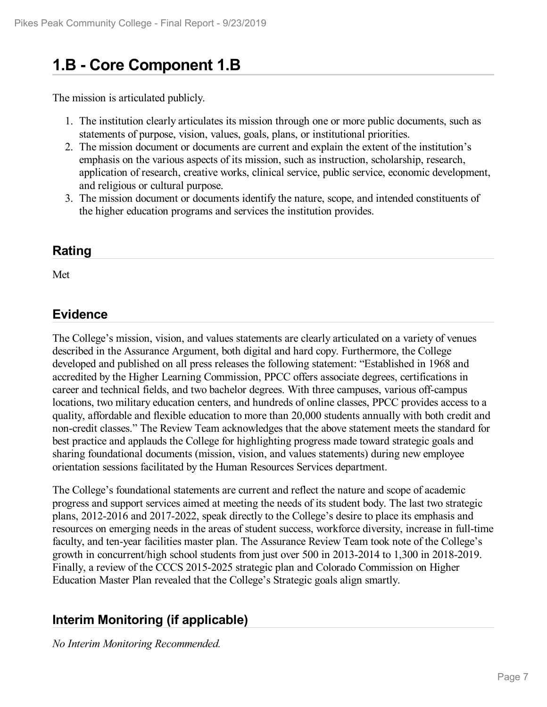# **1.B - Core Component 1.B**

The mission is articulated publicly.

- 1. The institution clearly articulates its mission through one or more public documents, such as statements of purpose, vision, values, goals, plans, or institutional priorities.
- 2. The mission document or documents are current and explain the extent of the institution's emphasis on the various aspects of its mission, such as instruction, scholarship, research, application of research, creative works, clinical service, public service, economic development, and religious or cultural purpose.
- 3. The mission document or documents identify the nature, scope, and intended constituents of the higher education programs and services the institution provides.

#### **Rating**

Met

#### **Evidence**

The College's mission, vision, and values statements are clearly articulated on a variety of venues described in the Assurance Argument, both digital and hard copy. Furthermore, the College developed and published on all press releases the following statement: "Established in 1968 and accredited by the Higher Learning Commission, PPCC offers associate degrees, certifications in career and technical fields, and two bachelor degrees. With three campuses, various off-campus locations, two military education centers, and hundreds of online classes, PPCC provides access to a quality, affordable and flexible education to more than 20,000 students annually with both credit and non-credit classes." The Review Team acknowledges that the above statement meets the standard for best practice and applauds the College for highlighting progress made toward strategic goals and sharing foundational documents (mission, vision, and values statements) during new employee orientation sessions facilitated by the Human Resources Services department.

The College's foundational statements are current and reflect the nature and scope of academic progress and support services aimed at meeting the needs of its student body. The last two strategic plans, 2012-2016 and 2017-2022, speak directly to the College's desire to place its emphasis and resources on emerging needs in the areas of student success, workforce diversity, increase in full-time faculty, and ten-year facilities master plan. The Assurance Review Team took note of the College's growth in concurrent/high school students from just over 500 in 2013-2014 to 1,300 in 2018-2019. Finally, a review of the CCCS 2015-2025 strategic plan and Colorado Commission on Higher Education Master Plan revealed that the College's Strategic goals align smartly.

### **Interim Monitoring (if applicable)**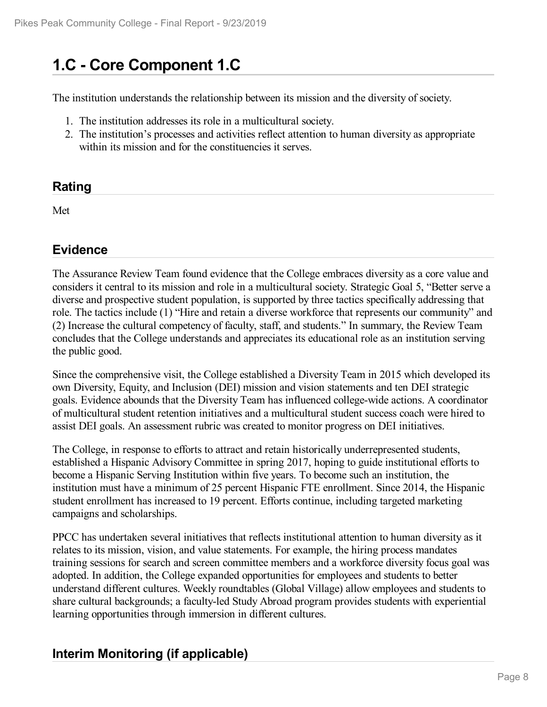# **1.C - Core Component 1.C**

The institution understands the relationship between its mission and the diversity of society.

- 1. The institution addresses its role in a multicultural society.
- 2. The institution's processes and activities reflect attention to human diversity as appropriate within its mission and for the constituencies it serves.

#### **Rating**

Met

### **Evidence**

The Assurance Review Team found evidence that the College embraces diversity as a core value and considers it central to its mission and role in a multicultural society. Strategic Goal 5, "Better serve a diverse and prospective student population, is supported by three tactics specifically addressing that role. The tactics include (1) "Hire and retain a diverse workforce that represents our community" and (2) Increase the cultural competency of faculty, staff, and students." In summary, the Review Team concludes that the College understands and appreciates its educational role as an institution serving the public good.

Since the comprehensive visit, the College established a Diversity Team in 2015 which developed its own Diversity, Equity, and Inclusion (DEI) mission and vision statements and ten DEI strategic goals. Evidence abounds that the Diversity Team has influenced college-wide actions. A coordinator of multicultural student retention initiatives and a multicultural student success coach were hired to assist DEI goals. An assessment rubric was created to monitor progress on DEI initiatives.

The College, in response to efforts to attract and retain historically underrepresented students, established a Hispanic Advisory Committee in spring 2017, hoping to guide institutional efforts to become a Hispanic Serving Institution within five years. To become such an institution, the institution must have a minimum of 25 percent Hispanic FTE enrollment. Since 2014, the Hispanic student enrollment has increased to 19 percent. Efforts continue, including targeted marketing campaigns and scholarships.

PPCC has undertaken several initiatives that reflects institutional attention to human diversity as it relates to its mission, vision, and value statements. For example, the hiring process mandates training sessions for search and screen committee members and a workforce diversity focus goal was adopted. In addition, the College expanded opportunities for employees and students to better understand different cultures. Weekly roundtables (Global Village) allow employees and students to share cultural backgrounds; a faculty-led Study Abroad program provides students with experiential learning opportunities through immersion in different cultures.

### **Interim Monitoring (if applicable)**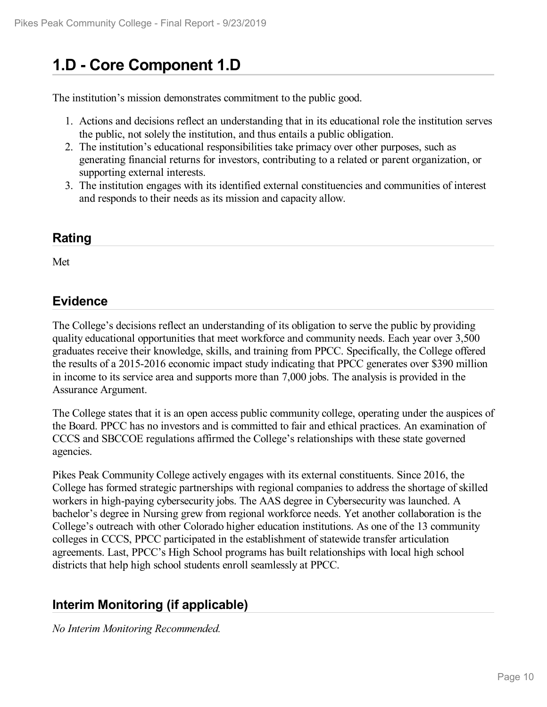# **1.D - Core Component 1.D**

The institution's mission demonstrates commitment to the public good.

- 1. Actions and decisions reflect an understanding that in its educational role the institution serves the public, not solely the institution, and thus entails a public obligation.
- 2. The institution's educational responsibilities take primacy over other purposes, such as generating financial returns for investors, contributing to a related or parent organization, or supporting external interests.
- 3. The institution engages with its identified external constituencies and communities of interest and responds to their needs as its mission and capacity allow.

#### **Rating**

Met

### **Evidence**

The College's decisions reflect an understanding of its obligation to serve the public by providing quality educational opportunities that meet workforce and community needs. Each year over 3,500 graduates receive their knowledge, skills, and training from PPCC. Specifically, the College offered the results of a 2015-2016 economic impact study indicating that PPCC generates over \$390 million in income to its service area and supports more than 7,000 jobs. The analysis is provided in the Assurance Argument.

The College states that it is an open access public community college, operating under the auspices of the Board. PPCC has no investors and is committed to fair and ethical practices. An examination of CCCS and SBCCOE regulations affirmed the College's relationships with these state governed agencies.

Pikes Peak Community College actively engages with its external constituents. Since 2016, the College has formed strategic partnerships with regional companies to address the shortage of skilled workers in high-paying cybersecurity jobs. The AAS degree in Cybersecurity was launched. A bachelor's degree in Nursing grew from regional workforce needs. Yet another collaboration is the College's outreach with other Colorado higher education institutions. As one of the 13 community colleges in CCCS, PPCC participated in the establishment of statewide transfer articulation agreements. Last, PPCC's High School programs has built relationships with local high school districts that help high school students enroll seamlessly at PPCC.

### **Interim Monitoring (if applicable)**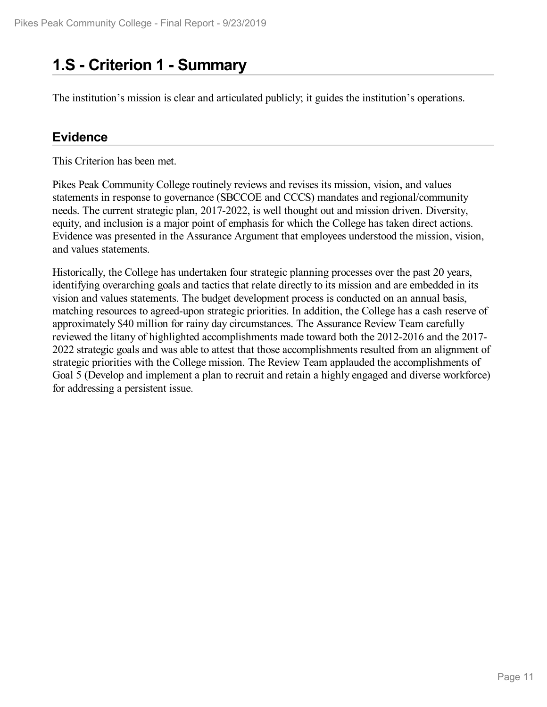# **1.S - Criterion 1 -Summary**

The institution's mission is clear and articulated publicly; it guides the institution's operations.

#### **Evidence**

This Criterion has been met.

Pikes Peak Community College routinely reviews and revises its mission, vision, and values statements in response to governance (SBCCOE and CCCS) mandates and regional/community needs. The current strategic plan, 2017-2022, is well thought out and mission driven. Diversity, equity, and inclusion is a major point of emphasis for which the College has taken direct actions. Evidence was presented in the Assurance Argument that employees understood the mission, vision, and values statements.

Historically, the College has undertaken four strategic planning processes over the past 20 years, identifying overarching goals and tactics that relate directly to its mission and are embedded in its vision and values statements. The budget development process is conducted on an annual basis, matching resources to agreed-upon strategic priorities. In addition, the College has a cash reserve of approximately \$40 million for rainy day circumstances. The Assurance Review Team carefully reviewed the litany of highlighted accomplishments made toward both the 2012-2016 and the 2017- 2022 strategic goals and was able to attest that those accomplishments resulted from an alignment of strategic priorities with the College mission. The Review Team applauded the accomplishments of Goal 5 (Develop and implement a plan to recruit and retain a highly engaged and diverse workforce) for addressing a persistent issue.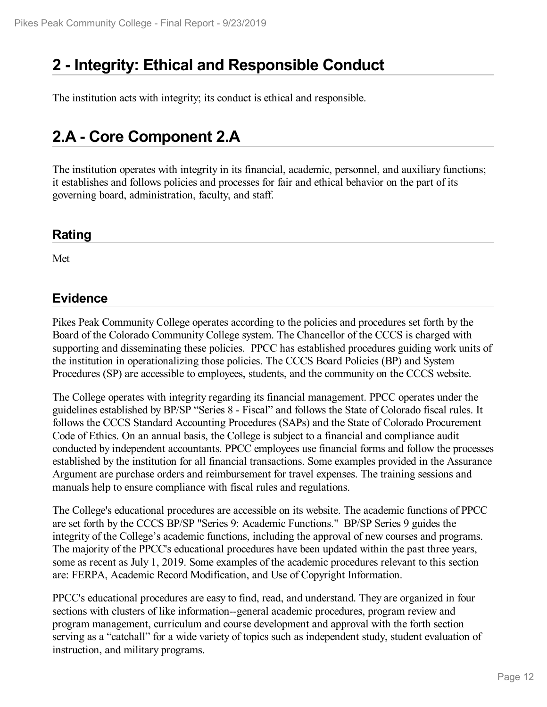# **2 -Integrity: Ethical and Responsible Conduct**

The institution acts with integrity; its conduct is ethical and responsible.

# **2.A - Core Component 2.A**

The institution operates with integrity in its financial, academic, personnel, and auxiliary functions; it establishes and follows policies and processes for fair and ethical behavior on the part of its governing board, administration, faculty, and staff.

#### **Rating**

Met

#### **Evidence**

Pikes Peak Community College operates according to the policies and procedures set forth by the Board of the Colorado Community College system. The Chancellor of the CCCS is charged with supporting and disseminating these policies. PPCC has established procedures guiding work units of the institution in operationalizing those policies. The CCCS Board Policies (BP) and System Procedures (SP) are accessible to employees, students, and the community on the CCCS website.

The College operates with integrity regarding its financial management. PPCC operates under the guidelines established by BP/SP "Series 8 - Fiscal" and follows the State of Colorado fiscal rules. It follows the CCCS Standard Accounting Procedures (SAPs) and the State of Colorado Procurement Code of Ethics. On an annual basis, the College is subject to a financial and compliance audit conducted by independent accountants. PPCC employees use financial forms and follow the processes established by the institution for all financial transactions. Some examples provided in the Assurance Argument are purchase orders and reimbursement for travel expenses. The training sessions and manuals help to ensure compliance with fiscal rules and regulations.

The College's educational procedures are accessible on its website. The academic functions of PPCC are set forth by the CCCS BP/SP "Series 9: Academic Functions." BP/SP Series 9 guides the integrity of the College's academic functions, including the approval of new courses and programs. The majority of the PPCC's educational procedures have been updated within the past three years, some as recent as July 1, 2019. Some examples of the academic procedures relevant to this section are: FERPA, Academic Record Modification, and Use of Copyright Information.

PPCC's educational procedures are easy to find, read, and understand. They are organized in four sections with clusters of like information--general academic procedures, program review and program management, curriculum and course development and approval with the forth section serving as a "catchall" for a wide variety of topics such as independent study, student evaluation of instruction, and military programs.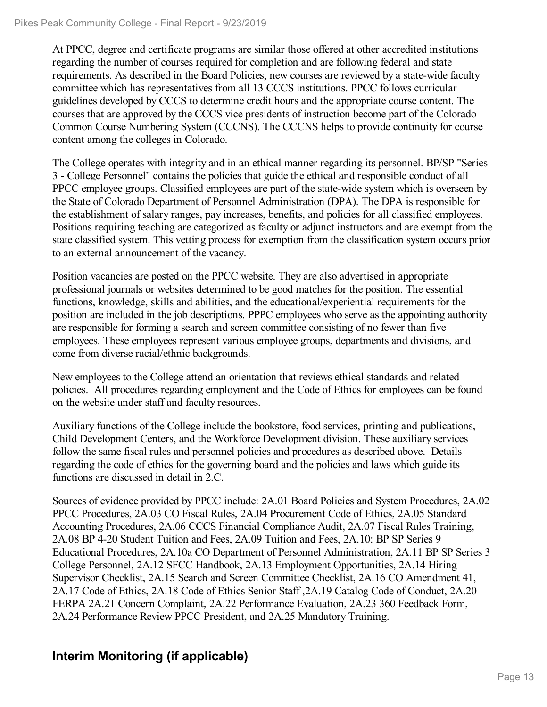At PPCC, degree and certificate programs are similar those offered at other accredited institutions regarding the number of courses required for completion and are following federal and state requirements. As described in the Board Policies, new courses are reviewed by a state-wide faculty committee which has representatives from all 13 CCCS institutions. PPCC follows curricular guidelines developed by CCCS to determine credit hours and the appropriate course content. The courses that are approved by the CCCS vice presidents of instruction become part of the Colorado Common Course Numbering System (CCCNS). The CCCNS helps to provide continuity for course content among the colleges in Colorado.

The College operates with integrity and in an ethical manner regarding its personnel. BP/SP "Series 3 - College Personnel" contains the policies that guide the ethical and responsible conduct of all PPCC employee groups. Classified employees are part of the state-wide system which is overseen by the State of Colorado Department of Personnel Administration (DPA). The DPA is responsible for the establishment of salary ranges, pay increases, benefits, and policies for all classified employees. Positions requiring teaching are categorized as faculty or adjunct instructors and are exempt from the state classified system. This vetting process for exemption from the classification system occurs prior to an external announcement of the vacancy.

Position vacancies are posted on the PPCC website. They are also advertised in appropriate professional journals or websites determined to be good matches for the position. The essential functions, knowledge, skills and abilities, and the educational/experiential requirements for the position are included in the job descriptions. PPPC employees who serve as the appointing authority are responsible for forming a search and screen committee consisting of no fewer than five employees. These employees represent various employee groups, departments and divisions, and come from diverse racial/ethnic backgrounds.

New employees to the College attend an orientation that reviews ethical standards and related policies. All procedures regarding employment and the Code of Ethics for employees can be found on the website under staff and faculty resources.

Auxiliary functions of the College include the bookstore, food services, printing and publications, Child Development Centers, and the Workforce Development division. These auxiliary services follow the same fiscal rules and personnel policies and procedures as described above. Details regarding the code of ethics for the governing board and the policies and laws which guide its functions are discussed in detail in 2.C.

Sources of evidence provided by PPCC include: 2A.01 Board Policies and System Procedures, 2A.02 PPCC Procedures, 2A.03 CO Fiscal Rules, 2A.04 Procurement Code of Ethics, 2A.05 Standard Accounting Procedures, 2A.06 CCCS Financial Compliance Audit, 2A.07 Fiscal Rules Training, 2A.08 BP 4-20 Student Tuition and Fees, 2A.09 Tuition and Fees, 2A.10: BP SP Series 9 Educational Procedures, 2A.10a CO Department of Personnel Administration, 2A.11 BP SP Series 3 College Personnel, 2A.12 SFCC Handbook, 2A.13 Employment Opportunities, 2A.14 Hiring Supervisor Checklist, 2A.15 Search and Screen Committee Checklist, 2A.16 CO Amendment 41, 2A.17 Code of Ethics, 2A.18 Code of Ethics Senior Staff ,2A.19 Catalog Code of Conduct, 2A.20 FERPA 2A.21 Concern Complaint, 2A.22 Performance Evaluation, 2A.23 360 Feedback Form, 2A.24 Performance Review PPCC President, and 2A.25 Mandatory Training.

## **Interim Monitoring (if applicable)**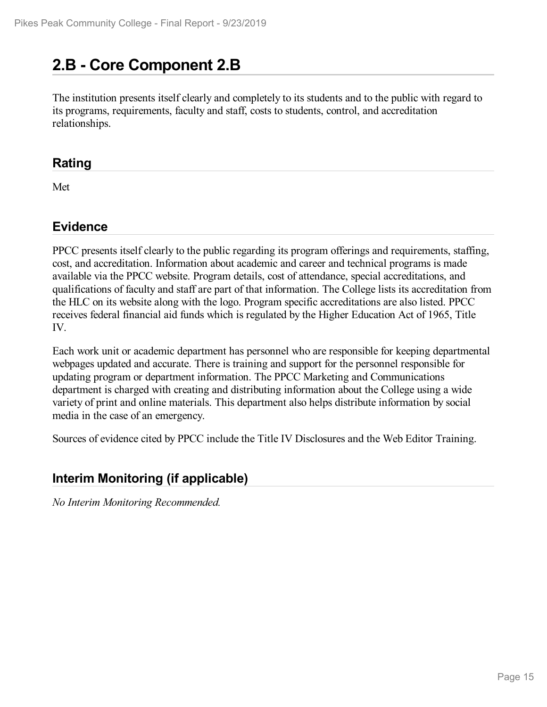# **2.B - Core Component 2.B**

The institution presents itself clearly and completely to its students and to the public with regard to its programs, requirements, faculty and staff, costs to students, control, and accreditation relationships.

#### **Rating**

Met

#### **Evidence**

PPCC presents itself clearly to the public regarding its program offerings and requirements, staffing, cost, and accreditation. Information about academic and career and technical programs is made available via the PPCC website. Program details, cost of attendance, special accreditations, and qualifications of faculty and staff are part of that information. The College lists its accreditation from the HLC on its website along with the logo. Program specific accreditations are also listed. PPCC receives federal financial aid funds which is regulated by the Higher Education Act of 1965, Title IV.

Each work unit or academic department has personnel who are responsible for keeping departmental webpages updated and accurate. There is training and support for the personnel responsible for updating program or department information. The PPCC Marketing and Communications department is charged with creating and distributing information about the College using a wide variety of print and online materials. This department also helps distribute information by social media in the case of an emergency.

Sources of evidence cited by PPCC include the Title IV Disclosures and the Web Editor Training.

## **Interim Monitoring (if applicable)**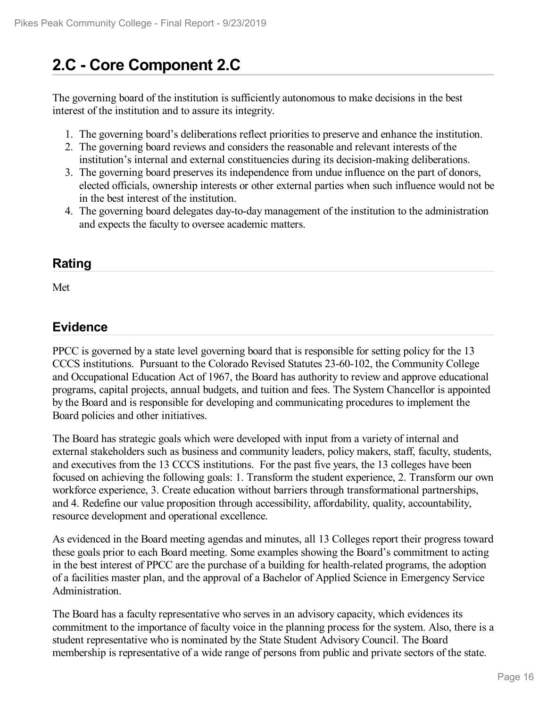# **2.C - Core Component 2.C**

The governing board of the institution is sufficiently autonomous to make decisions in the best interest of the institution and to assure its integrity.

- 1. The governing board's deliberations reflect priorities to preserve and enhance the institution.
- 2. The governing board reviews and considers the reasonable and relevant interests of the institution's internal and external constituencies during its decision-making deliberations.
- 3. The governing board preserves its independence from undue influence on the part of donors, elected officials, ownership interests or other external parties when such influence would not be in the best interest of the institution.
- 4. The governing board delegates day-to-day management of the institution to the administration and expects the faculty to oversee academic matters.

### **Rating**

Met

#### **Evidence**

PPCC is governed by a state level governing board that is responsible for setting policy for the 13 CCCS institutions. Pursuant to the Colorado Revised Statutes 23-60-102, the Community College and Occupational Education Act of 1967, the Board has authority to review and approve educational programs, capital projects, annual budgets, and tuition and fees. The System Chancellor is appointed by the Board and is responsible for developing and communicating procedures to implement the Board policies and other initiatives.

The Board has strategic goals which were developed with input from a variety of internal and external stakeholders such as business and community leaders, policy makers, staff, faculty, students, and executives from the 13 CCCS institutions. For the past five years, the 13 colleges have been focused on achieving the following goals: 1. Transform the student experience, 2. Transform our own workforce experience, 3. Create education without barriers through transformational partnerships, and 4. Redefine our value proposition through accessibility, affordability, quality, accountability, resource development and operational excellence.

As evidenced in the Board meeting agendas and minutes, all 13 Colleges report their progress toward these goals prior to each Board meeting. Some examples showing the Board's commitment to acting in the best interest of PPCC are the purchase of a building for health-related programs, the adoption of a facilities master plan, and the approval of a Bachelor of Applied Science in Emergency Service Administration.

The Board has a faculty representative who serves in an advisory capacity, which evidences its commitment to the importance of faculty voice in the planning process for the system. Also, there is a student representative who is nominated by the State Student Advisory Council. The Board membership is representative of a wide range of persons from public and private sectors of the state.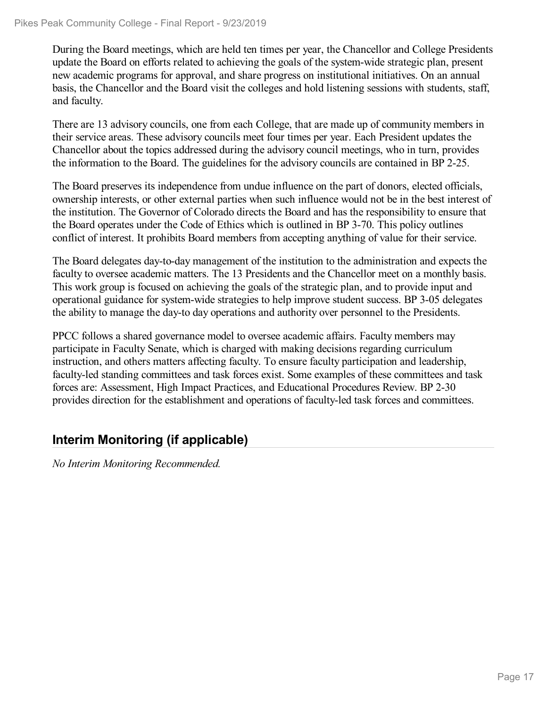During the Board meetings, which are held ten times per year, the Chancellor and College Presidents update the Board on efforts related to achieving the goals of the system-wide strategic plan, present new academic programs for approval, and share progress on institutional initiatives. On an annual basis, the Chancellor and the Board visit the colleges and hold listening sessions with students, staff, and faculty.

There are 13 advisory councils, one from each College, that are made up of community members in their service areas. These advisory councils meet four times per year. Each President updates the Chancellor about the topics addressed during the advisory council meetings, who in turn, provides the information to the Board. The guidelines for the advisory councils are contained in BP 2-25.

The Board preserves its independence from undue influence on the part of donors, elected officials, ownership interests, or other external parties when such influence would not be in the best interest of the institution. The Governor of Colorado directs the Board and has the responsibility to ensure that the Board operates under the Code of Ethics which is outlined in BP 3-70. This policy outlines conflict of interest. It prohibits Board members from accepting anything of value for their service.

The Board delegates day-to-day management of the institution to the administration and expects the faculty to oversee academic matters. The 13 Presidents and the Chancellor meet on a monthly basis. This work group is focused on achieving the goals of the strategic plan, and to provide input and operational guidance for system-wide strategies to help improve student success. BP 3-05 delegates the ability to manage the day-to day operations and authority over personnel to the Presidents.

PPCC follows a shared governance model to oversee academic affairs. Faculty members may participate in Faculty Senate, which is charged with making decisions regarding curriculum instruction, and others matters affecting faculty. To ensure faculty participation and leadership, faculty-led standing committees and task forces exist. Some examples of these committees and task forces are: Assessment, High Impact Practices, and Educational Procedures Review. BP 2-30 provides direction for the establishment and operations of faculty-led task forces and committees.

## **Interim Monitoring (if applicable)**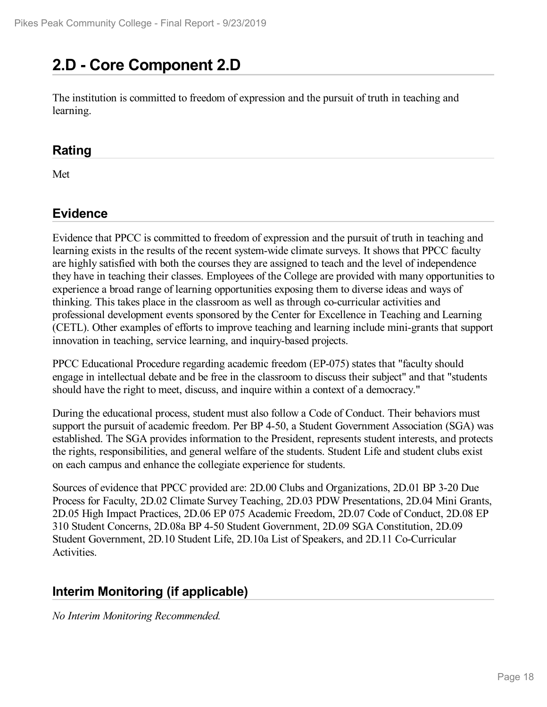# **2.D - Core Component 2.D**

The institution is committed to freedom of expression and the pursuit of truth in teaching and learning.

#### **Rating**

Met

### **Evidence**

Evidence that PPCC is committed to freedom of expression and the pursuit of truth in teaching and learning exists in the results of the recent system-wide climate surveys. It shows that PPCC faculty are highly satisfied with both the courses they are assigned to teach and the level of independence they have in teaching their classes. Employees of the College are provided with many opportunities to experience a broad range of learning opportunities exposing them to diverse ideas and ways of thinking. This takes place in the classroom as well as through co-curricular activities and professional development events sponsored by the Center for Excellence in Teaching and Learning (CETL). Other examples of efforts to improve teaching and learning include mini-grants that support innovation in teaching, service learning, and inquiry-based projects.

PPCC Educational Procedure regarding academic freedom (EP-075) states that "faculty should engage in intellectual debate and be free in the classroom to discuss their subject" and that "students should have the right to meet, discuss, and inquire within a context of a democracy."

During the educational process, student must also follow a Code of Conduct. Their behaviors must support the pursuit of academic freedom. Per BP 4-50, a Student Government Association (SGA) was established. The SGA provides information to the President, represents student interests, and protects the rights, responsibilities, and general welfare of the students. Student Life and student clubs exist on each campus and enhance the collegiate experience for students.

Sources of evidence that PPCC provided are: 2D.00 Clubs and Organizations, 2D.01 BP 3-20 Due Process for Faculty, 2D.02 Climate Survey Teaching, 2D.03 PDW Presentations, 2D.04 Mini Grants, 2D.05 High Impact Practices, 2D.06 EP 075 Academic Freedom, 2D.07 Code of Conduct, 2D.08 EP 310 Student Concerns, 2D.08a BP 4-50 Student Government, 2D.09 SGA Constitution, 2D.09 Student Government, 2D.10 Student Life, 2D.10a List of Speakers, and 2D.11 Co-Curricular Activities.

## **Interim Monitoring (if applicable)**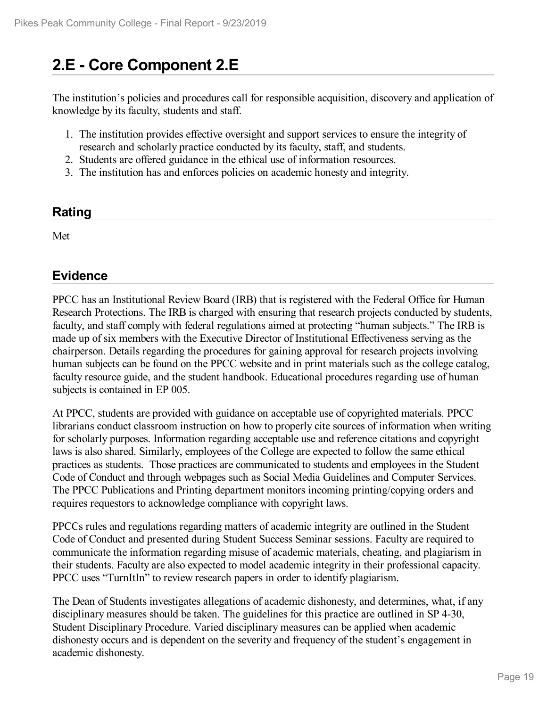# **2.E - Core Component 2.E**

The institution's policies and procedures call for responsible acquisition, discovery and application of knowledge by its faculty, students and staff.

- 1. The institution provides effective oversight and support services to ensure the integrity of research and scholarly practice conducted by its faculty, staff, and students.
- 2. Students are offered guidance in the ethical use of information resources.
- 3. The institution has and enforces policies on academic honesty and integrity.

#### **Rating**

Met

### **Evidence**

PPCC has an Institutional Review Board (IRB) that is registered with the Federal Office for Human Research Protections. The IRB is charged with ensuring that research projects conducted by students, faculty, and staff comply with federal regulations aimed at protecting "human subjects." The IRB is made up of six members with the Executive Director of Institutional Effectiveness serving as the chairperson. Details regarding the procedures for gaining approval for research projects involving human subjects can be found on the PPCC website and in print materials such as the college catalog, faculty resource guide, and the student handbook. Educational procedures regarding use of human subjects is contained in EP 005.

At PPCC, students are provided with guidance on acceptable use of copyrighted materials. PPCC librarians conduct classroom instruction on how to properly cite sources of information when writing for scholarly purposes. Information regarding acceptable use and reference citations and copyright laws is also shared. Similarly, employees of the College are expected to follow the same ethical practices as students. Those practices are communicated to students and employees in the Student Code of Conduct and through webpages such as Social Media Guidelines and Computer Services. The PPCC Publications and Printing department monitors incoming printing/copying orders and requires requestors to acknowledge compliance with copyright laws.

PPCCs rules and regulations regarding matters of academic integrity are outlined in the Student Code of Conduct and presented during Student Success Seminar sessions. Faculty are required to communicate the information regarding misuse of academic materials, cheating, and plagiarism in their students. Faculty are also expected to model academic integrity in their professional capacity. PPCC uses "TurnItIn" to review research papers in order to identify plagiarism.

The Dean of Students investigates allegations of academic dishonesty, and determines, what, if any disciplinary measures should be taken. The guidelines for this practice are outlined in SP 4-30, Student Disciplinary Procedure. Varied disciplinary measures can be applied when academic dishonesty occurs and is dependent on the severity and frequency of the student's engagement in academic dishonesty.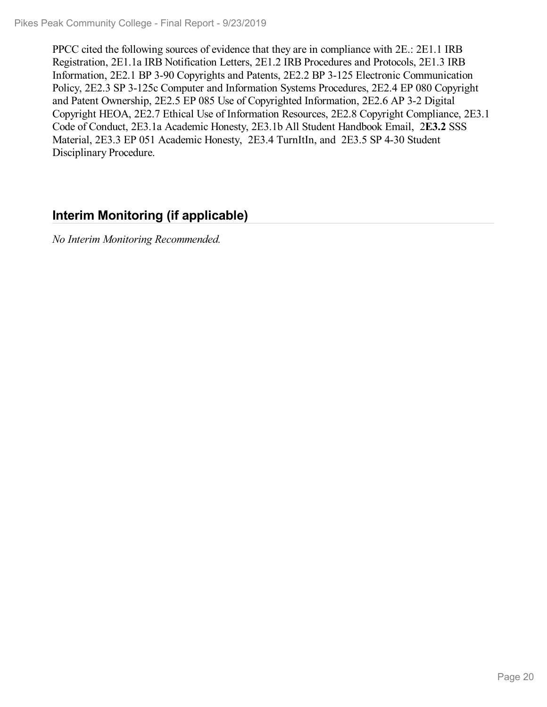PPCC cited the following sources of evidence that they are in compliance with 2E.: 2E1.1 IRB Registration, 2E1.1a IRB Notification Letters, 2E1.2 IRB Procedures and Protocols, 2E1.3 IRB Information, 2E2.1 BP 3-90 Copyrights and Patents, 2E2.2 BP 3-125 Electronic Communication Policy, 2E2.3 SP 3-125c Computer and Information Systems Procedures, 2E2.4 EP 080 Copyright and Patent Ownership, 2E2.5 EP 085 Use of Copyrighted Information, 2E2.6 AP 3-2 Digital Copyright HEOA, 2E2.7 Ethical Use of Information Resources, 2E2.8 Copyright Compliance, 2E3.1 Code of Conduct, 2E3.1a Academic Honesty, 2E3.1b All Student Handbook Email, 2**E3.2** SSS Material, 2E3.3 EP 051 Academic Honesty, 2E3.4 TurnItIn, and 2E3.5 SP 4-30 Student Disciplinary Procedure.

### **Interim Monitoring (if applicable)**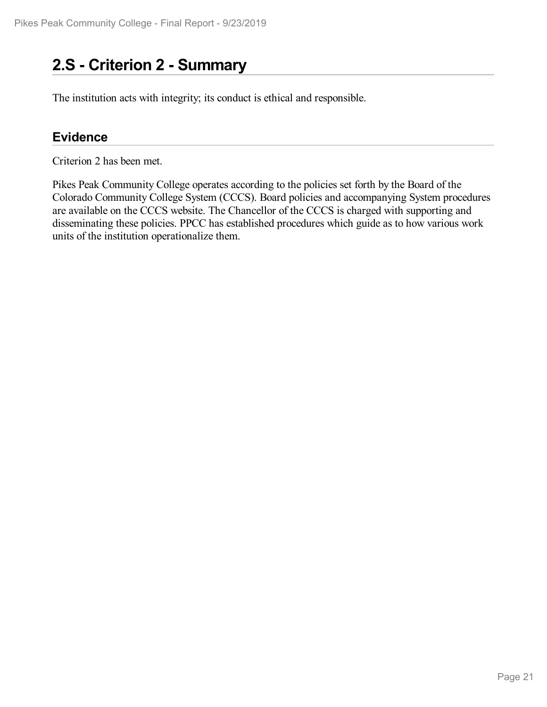# **2.S - Criterion 2 -Summary**

The institution acts with integrity; its conduct is ethical and responsible.

#### **Evidence**

Criterion 2 has been met.

Pikes Peak Community College operates according to the policies set forth by the Board of the Colorado Community College System (CCCS). Board policies and accompanying System procedures are available on the CCCS website. The Chancellor of the CCCS is charged with supporting and disseminating these policies. PPCC has established procedures which guide as to how various work units of the institution operationalize them.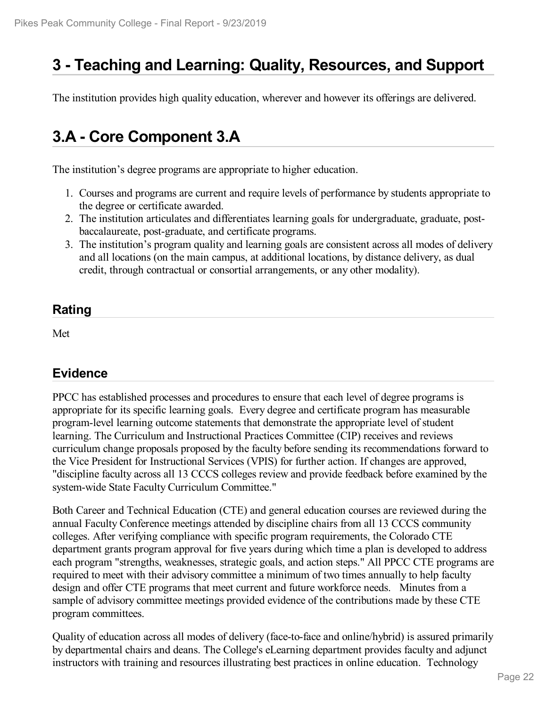# **3 -Teaching and Learning: Quality, Resources, and Support**

The institution provides high quality education, wherever and however its offerings are delivered.

# **3.A - Core Component 3.A**

The institution's degree programs are appropriate to higher education.

- 1. Courses and programs are current and require levels of performance by students appropriate to the degree or certificate awarded.
- 2. The institution articulates and differentiates learning goals for undergraduate, graduate, post baccalaureate, post-graduate, and certificate programs.
- 3. The institution's program quality and learning goals are consistent across all modes of delivery and all locations (on the main campus, at additional locations, by distance delivery, as dual credit, through contractual or consortial arrangements, or any other modality).

### **Rating**

Met

### **Evidence**

PPCC has established processes and procedures to ensure that each level of degree programs is appropriate for its specific learning goals. Every degree and certificate program has measurable program-level learning outcome statements that demonstrate the appropriate level of student learning. The Curriculum and Instructional Practices Committee (CIP) receives and reviews curriculum change proposals proposed by the faculty before sending its recommendations forward to the Vice President for Instructional Services (VPIS) for further action. If changes are approved, "discipline faculty across all 13 CCCS colleges review and provide feedback before examined by the system-wide State Faculty Curriculum Committee."

Both Career and Technical Education (CTE) and general education courses are reviewed during the annual Faculty Conference meetings attended by discipline chairs from all 13 CCCS community colleges. After verifying compliance with specific program requirements, the Colorado CTE department grants program approval for five years during which time a plan is developed to address each program "strengths, weaknesses, strategic goals, and action steps." All PPCC CTE programs are required to meet with their advisory committee a minimum of two times annually to help faculty design and offer CTE programs that meet current and future workforce needs. Minutes from a sample of advisory committee meetings provided evidence of the contributions made by these CTE program committees.

Quality of education across all modes of delivery (face-to-face and online/hybrid) is assured primarily by departmental chairs and deans. The College's eLearning department provides faculty and adjunct instructors with training and resources illustrating best practices in online education. Technology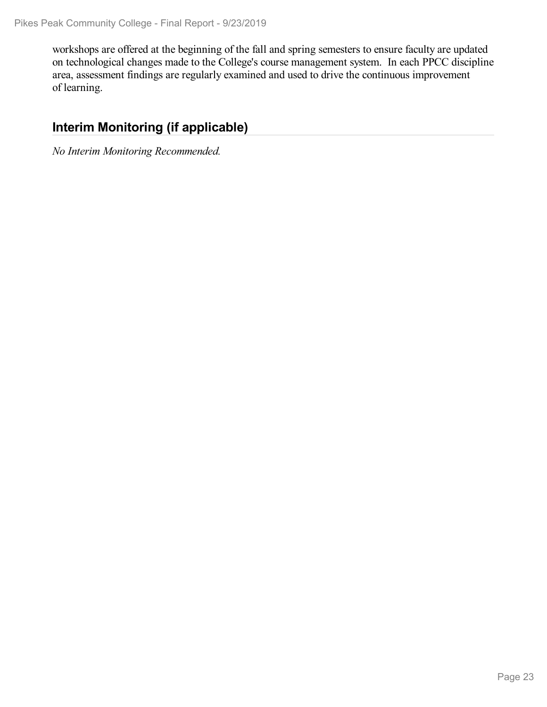workshops are offered at the beginning of the fall and spring semesters to ensure faculty are updated on technological changes made to the College's course management system. In each PPCC discipline area, assessment findings are regularly examined and used to drive the continuous improvement of learning.

### **Interim Monitoring (if applicable)**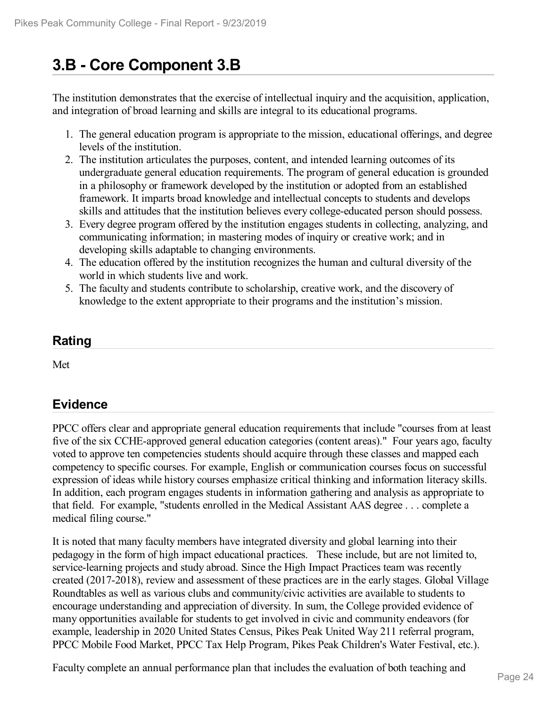# **3.B - Core Component 3.B**

The institution demonstrates that the exercise of intellectual inquiry and the acquisition, application, and integration of broad learning and skills are integral to its educational programs.

- 1. The general education program is appropriate to the mission, educational offerings, and degree levels of the institution.
- 2. The institution articulates the purposes, content, and intended learning outcomes of its undergraduate general education requirements. The program of general education is grounded in a philosophy or framework developed by the institution or adopted from an established framework. It imparts broad knowledge and intellectual concepts to students and develops skills and attitudes that the institution believes every college-educated person should possess.
- 3. Every degree program offered by the institution engages students in collecting, analyzing, and communicating information; in mastering modes of inquiry or creative work; and in developing skills adaptable to changing environments.
- 4. The education offered by the institution recognizes the human and cultural diversity of the world in which students live and work.
- 5. The faculty and students contribute to scholarship, creative work, and the discovery of knowledge to the extent appropriate to their programs and the institution's mission.

### **Rating**

Met

## **Evidence**

PPCC offers clear and appropriate general education requirements that include "courses from at least five of the six CCHE-approved general education categories (content areas)." Four years ago, faculty voted to approve ten competencies students should acquire through these classes and mapped each competency to specific courses. For example, English or communication courses focus on successful expression of ideas while history courses emphasize critical thinking and information literacy skills. In addition, each program engages students in information gathering and analysis as appropriate to that field. For example, "students enrolled in the Medical Assistant AAS degree .. . complete a medical filing course."

It is noted that many faculty members have integrated diversity and global learning into their pedagogy in the form of high impact educational practices. These include, but are not limited to, service-learning projects and study abroad. Since the High Impact Practices team was recently created (2017-2018), review and assessment of these practices are in the early stages. Global Village Roundtables as well as various clubs and community/civic activities are available to students to encourage understanding and appreciation of diversity. In sum, the College provided evidence of many opportunities available for students to get involved in civic and community endeavors (for example, leadership in 2020 United States Census, Pikes Peak United Way 211 referral program, PPCC Mobile Food Market, PPCC Tax Help Program, Pikes Peak Children's Water Festival, etc.).

Faculty complete an annual performance plan that includes the evaluation of both teaching and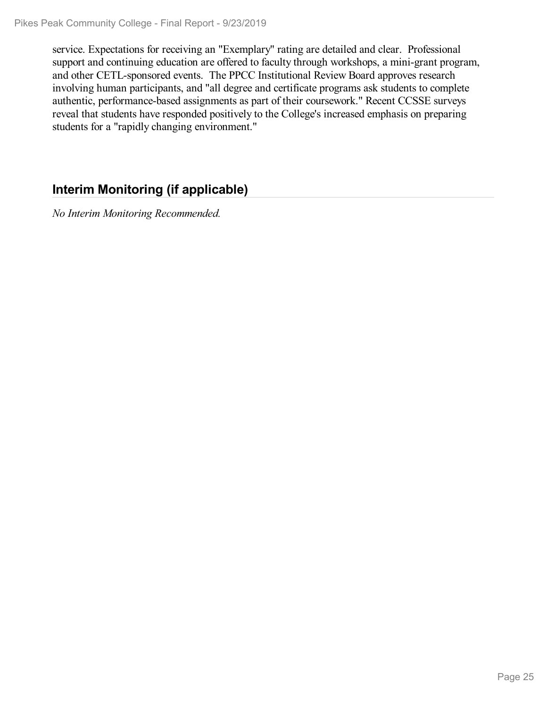service. Expectations for receiving an "Exemplary" rating are detailed and clear. Professional support and continuing education are offered to faculty through workshops, a mini-grant program, and other CETL-sponsored events. The PPCC Institutional Review Board approves research involving human participants, and "all degree and certificate programs ask students to complete authentic, performance-based assignments as part of their coursework." Recent CCSSE surveys reveal that students have responded positively to the College's increased emphasis on preparing students for a "rapidly changing environment."

## **Interim Monitoring (if applicable)**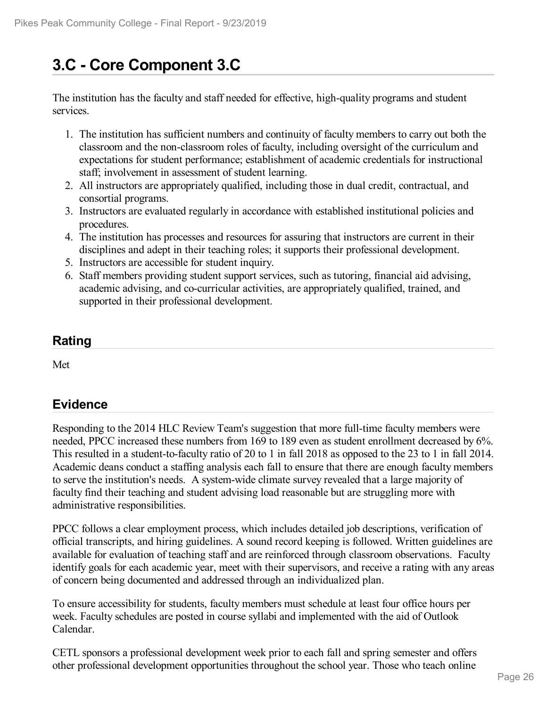# **3.C - Core Component 3.C**

The institution has the faculty and staff needed for effective, high-quality programs and student services.

- 1. The institution has sufficient numbers and continuity of faculty members to carry out both the classroom and the non-classroom roles of faculty, including oversight of the curriculum and expectations for student performance; establishment of academic credentials for instructional staff; involvement in assessment of student learning.
- 2. All instructors are appropriately qualified, including those in dual credit, contractual, and consortial programs.
- 3. Instructors are evaluated regularly in accordance with established institutional policies and procedures.
- 4. The institution has processes and resources for assuring that instructors are current in their disciplines and adept in their teaching roles; it supports their professional development.
- 5. Instructors are accessible for student inquiry.
- 6. Staff members providing student support services, such as tutoring, financial aid advising, academic advising, and co-curricular activities, are appropriately qualified, trained, and supported in their professional development.

### **Rating**

Met

## **Evidence**

Responding to the 2014 HLC Review Team's suggestion that more full-time faculty members were needed, PPCC increased these numbers from 169 to 189 even as student enrollment decreased by 6%. This resulted in a student-to-faculty ratio of 20 to 1 in fall 2018 as opposed to the 23 to 1 in fall 2014. Academic deans conduct a staffing analysis each fall to ensure that there are enough faculty members to serve the institution's needs. A system-wide climate survey revealed that a large majority of faculty find their teaching and student advising load reasonable but are struggling more with administrative responsibilities.

PPCC follows a clear employment process, which includes detailed job descriptions, verification of official transcripts, and hiring guidelines. A sound record keeping is followed. Written guidelines are available for evaluation of teaching staff and are reinforced through classroom observations. Faculty identify goals for each academic year, meet with their supervisors, and receive a rating with any areas of concern being documented and addressed through an individualized plan.

To ensure accessibility for students, faculty members must schedule at least four office hours per week. Faculty schedules are posted in course syllabi and implemented with the aid of Outlook Calendar.

CETL sponsors a professional development week prior to each fall and spring semester and offers other professional development opportunities throughout the school year. Those who teach online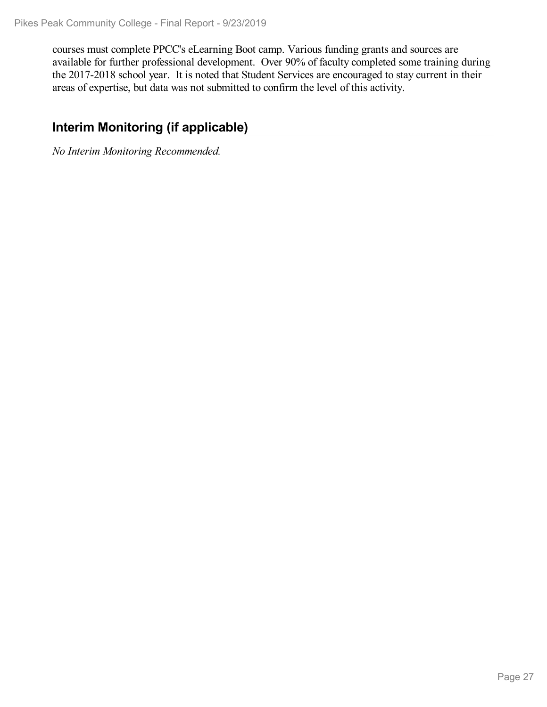courses must complete PPCC's eLearning Boot camp. Various funding grants and sources are available for further professional development. Over 90% of faculty completed some training during the 2017-2018 school year. It is noted that Student Services are encouraged to stay current in their areas of expertise, but data was not submitted to confirm the level of this activity.

### **Interim Monitoring (if applicable)**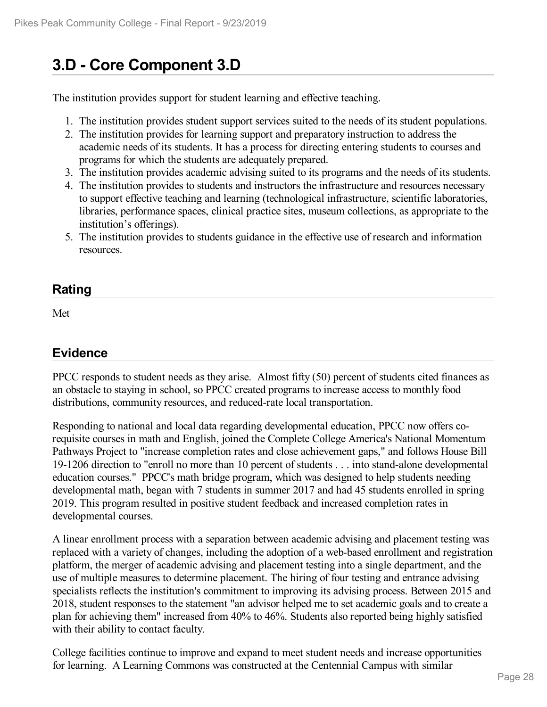# **3.D - Core Component 3.D**

The institution provides support for student learning and effective teaching.

- 1. The institution provides student support services suited to the needs of its student populations.
- 2. The institution provides for learning support and preparatory instruction to address the academic needs of its students. It has a process for directing entering students to courses and programs for which the students are adequately prepared.
- 3. The institution provides academic advising suited to its programs and the needs of its students.
- 4. The institution provides to students and instructors the infrastructure and resources necessary to support effective teaching and learning (technological infrastructure, scientific laboratories, libraries, performance spaces, clinical practice sites, museum collections, as appropriate to the institution's offerings).
- 5. The institution provides to students guidance in the effective use of research and information resources.

#### **Rating**

Met

## **Evidence**

PPCC responds to student needs as they arise. Almost fifty (50) percent of students cited finances as an obstacle to staying in school, so PPCC created programs to increase access to monthly food distributions, community resources, and reduced-rate local transportation.

Responding to national and local data regarding developmental education, PPCC now offers corequisite courses in math and English, joined the Complete College America's National Momentum Pathways Project to "increase completion rates and close achievement gaps," and follows House Bill 19-1206 direction to "enroll no more than 10 percent of students . . . into stand-alone developmental education courses." PPCC's math bridge program, which was designed to help students needing developmental math, began with 7 students in summer 2017 and had 45 students enrolled in spring 2019. This program resulted in positive student feedback and increased completion rates in developmental courses.

A linear enrollment process with a separation between academic advising and placement testing was replaced with a variety of changes, including the adoption of a web-based enrollment and registration platform, the merger of academic advising and placement testing into a single department, and the use of multiple measures to determine placement. The hiring of four testing and entrance advising specialists reflects the institution's commitment to improving its advising process. Between 2015 and 2018, student responses to the statement "an advisor helped me to set academic goals and to create a plan for achieving them" increased from 40% to 46%. Students also reported being highly satisfied with their ability to contact faculty.

College facilities continue to improve and expand to meet student needs and increase opportunities for learning. A Learning Commons was constructed at the Centennial Campus with similar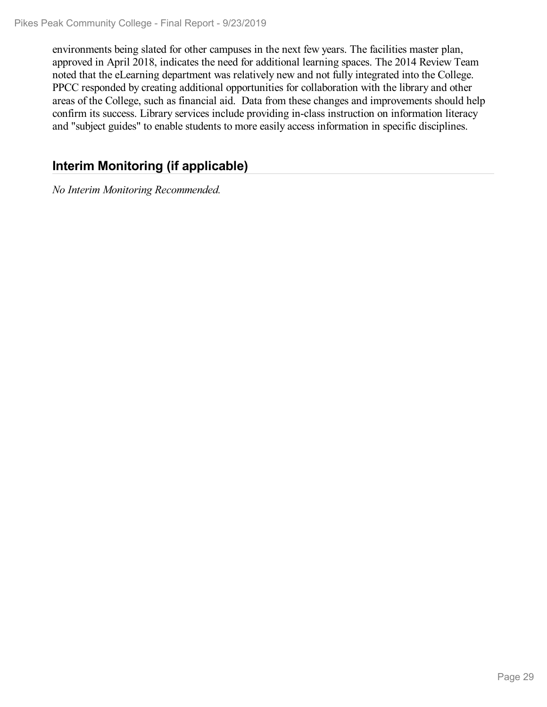environments being slated for other campuses in the next few years. The facilities master plan, approved in April 2018, indicates the need for additional learning spaces. The 2014 Review Team noted that the eLearning department was relatively new and not fully integrated into the College. PPCC responded by creating additional opportunities for collaboration with the library and other areas of the College, such as financial aid. Data from these changes and improvements should help confirm its success. Library services include providing in-class instruction on information literacy and "subject guides" to enable students to more easily access information in specific disciplines.

## **Interim Monitoring (if applicable)**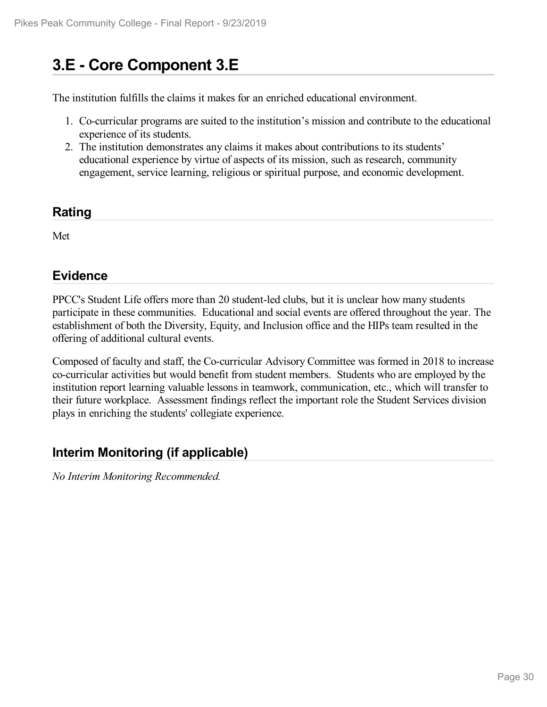# **3.E - Core Component 3.E**

The institution fulfills the claims it makes for an enriched educational environment.

- 1. Co-curricular programs are suited to the institution's mission and contribute to the educational experience of its students.
- 2. The institution demonstrates any claims it makes about contributions to its students' educational experience by virtue of aspects of its mission, such as research, community engagement, service learning, religious or spiritual purpose, and economic development.

#### **Rating**

Met

#### **Evidence**

PPCC's Student Life offers more than 20 student-led clubs, but it is unclear how many students participate in these communities. Educational and social events are offered throughout the year. The establishment of both the Diversity, Equity, and Inclusion office and the HIPs team resulted in the offering of additional cultural events.

Composed of faculty and staff, the Co-curricular Advisory Committee was formed in 2018 to increase co-curricular activities but would benefit from student members. Students who are employed by the institution report learning valuable lessons in teamwork, communication, etc., which will transfer to their future workplace. Assessment findings reflect the important role the Student Services division plays in enriching the students' collegiate experience.

### **Interim Monitoring (if applicable)**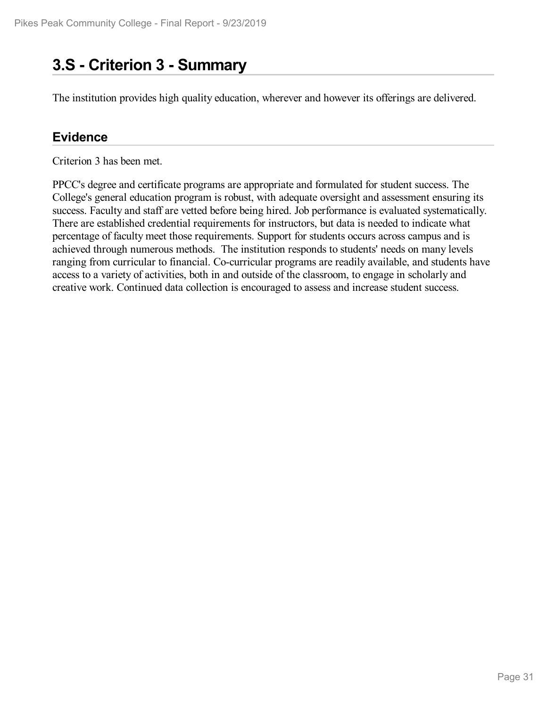# **3.S - Criterion 3 -Summary**

The institution provides high quality education, wherever and however its offerings are delivered.

#### **Evidence**

Criterion 3 has been met.

PPCC's degree and certificate programs are appropriate and formulated for student success. The College's general education program is robust, with adequate oversight and assessment ensuring its success. Faculty and staff are vetted before being hired. Job performance is evaluated systematically. There are established credential requirements for instructors, but data is needed to indicate what percentage of faculty meet those requirements. Support for students occurs across campus and is achieved through numerous methods. The institution responds to students' needs on many levels ranging from curricular to financial. Co-curricular programs are readily available, and students have access to a variety of activities, both in and outside of the classroom, to engage in scholarly and creative work. Continued data collection is encouraged to assess and increase student success.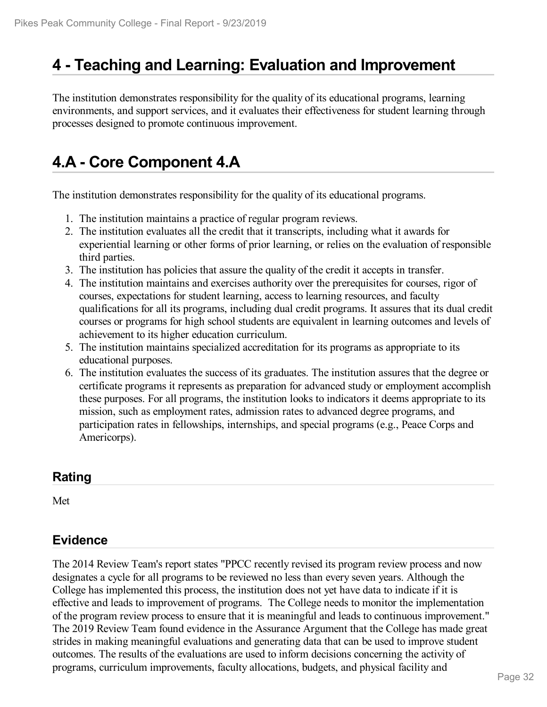## **4 -Teaching and Learning: Evaluation and Improvement**

The institution demonstrates responsibility for the quality of its educational programs, learning environments, and support services, and it evaluates their effectiveness for student learning through processes designed to promote continuous improvement.

# **4.A - Core Component 4.A**

The institution demonstrates responsibility for the quality of its educational programs.

- 1. The institution maintains a practice of regular program reviews.
- 2. The institution evaluates all the credit that it transcripts, including what it awards for experiential learning or other forms of prior learning, or relies on the evaluation of responsible third parties.
- 3. The institution has policies that assure the quality of the credit it accepts in transfer.
- 4. The institution maintains and exercises authority over the prerequisites for courses, rigor of courses, expectations for student learning, access to learning resources, and faculty qualifications for all its programs, including dual credit programs. It assures that its dual credit courses or programs for high school students are equivalent in learning outcomes and levels of achievement to its higher education curriculum.
- 5. The institution maintains specialized accreditation for its programs as appropriate to its educational purposes.
- 6. The institution evaluates the success of its graduates. The institution assures that the degree or certificate programs it represents as preparation for advanced study or employment accomplish these purposes. For all programs, the institution looks to indicators it deems appropriate to its mission, such as employment rates, admission rates to advanced degree programs, and participation rates in fellowships, internships, and special programs (e.g., Peace Corps and Americorps).

### **Rating**

Met

### **Evidence**

The 2014 Review Team's report states "PPCC recently revised its program review process and now designates a cycle for all programs to be reviewed no less than every seven years. Although the College has implemented this process, the institution does not yet have data to indicate if it is effective and leads to improvement of programs. The College needs to monitor the implementation of the program review process to ensure that it is meaningful and leads to continuous improvement." The 2019 Review Team found evidence in the Assurance Argument that the College has made great strides in making meaningful evaluations and generating data that can be used to improve student outcomes. The results of the evaluations are used to inform decisions concerning the activity of programs, curriculum improvements, faculty allocations, budgets, and physical facility and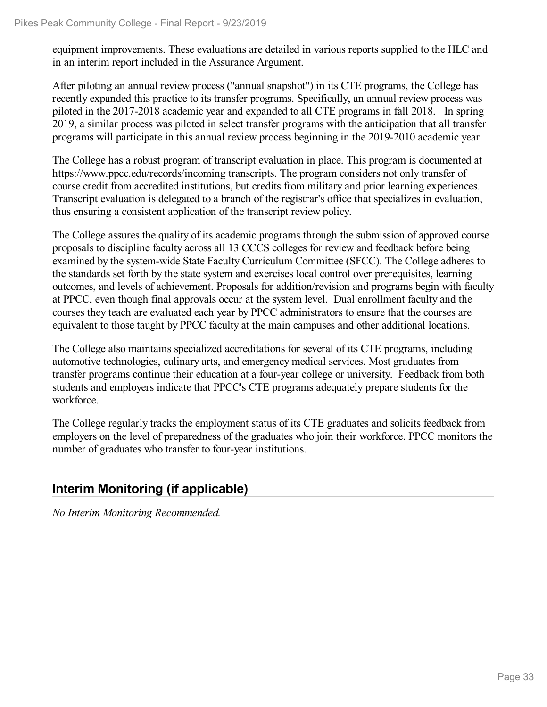equipment improvements. These evaluations are detailed in various reports supplied to the HLC and in an interim report included in the Assurance Argument.

After piloting an annual review process ("annual snapshot") in its CTE programs, the College has recently expanded this practice to its transfer programs. Specifically, an annual review process was piloted in the 2017-2018 academic year and expanded to all CTE programs in fall 2018. In spring 2019, a similar process was piloted in select transfer programs with the anticipation that all transfer programs will participate in this annual review process beginning in the 2019-2010 academic year.

The College has a robust program of transcript evaluation in place. This program is documented at https://www.ppcc.edu/records/incoming transcripts. The program considers not only transfer of course credit from accredited institutions, but credits from military and prior learning experiences. Transcript evaluation is delegated to a branch of the registrar's office that specializes in evaluation, thus ensuring a consistent application of the transcript review policy.

The College assures the quality of its academic programs through the submission of approved course proposals to discipline faculty across all 13 CCCS colleges for review and feedback before being examined by the system-wide State Faculty Curriculum Committee (SFCC). The College adheres to the standards set forth by the state system and exercises local control over prerequisites, learning outcomes, and levels of achievement. Proposals for addition/revision and programs begin with faculty at PPCC, even though final approvals occur at the system level. Dual enrollment faculty and the courses they teach are evaluated each year by PPCC administrators to ensure that the courses are equivalent to those taught by PPCC faculty at the main campuses and other additional locations.

The College also maintains specialized accreditations for several of its CTE programs, including automotive technologies, culinary arts, and emergency medical services. Most graduates from transfer programs continue their education at a four-year college or university. Feedback from both students and employers indicate that PPCC's CTE programs adequately prepare students for the workforce.

The College regularly tracks the employment status of its CTE graduates and solicits feedback from employers on the level of preparedness of the graduates who join their workforce. PPCC monitors the number of graduates who transfer to four-year institutions.

## **Interim Monitoring (if applicable)**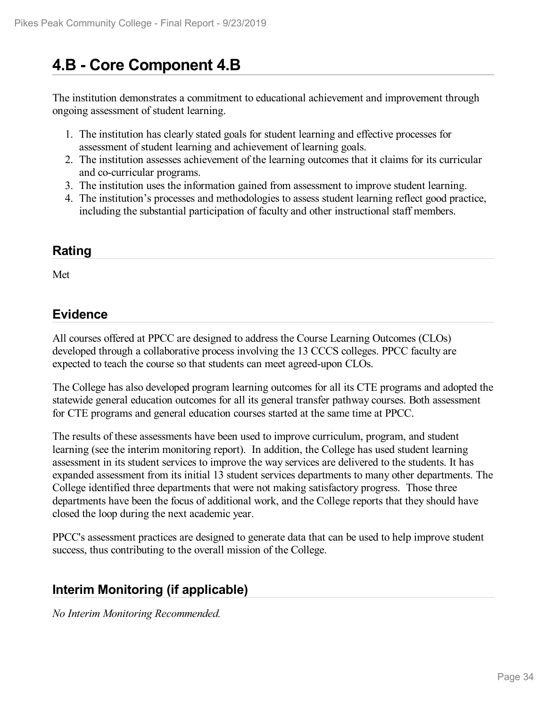# **4.B - Core Component 4.B**

The institution demonstrates a commitment to educational achievement and improvement through ongoing assessment of student learning.

- 1. The institution has clearly stated goals for student learning and effective processes for assessment of student learning and achievement of learning goals.
- 2. The institution assesses achievement of the learning outcomes that it claims for its curricular and co-curricular programs.
- 3. The institution uses the information gained from assessment to improve student learning.
- 4. The institution's processes and methodologies to assess student learning reflect good practice, including the substantial participation of faculty and other instructional staff members.

#### **Rating**

Met

#### **Evidence**

All courses offered at PPCC are designed to address the Course Learning Outcomes (CLOs) developed through a collaborative process involving the 13 CCCS colleges. PPCC faculty are expected to teach the course so that students can meet agreed-upon CLOs.

The College has also developed program learning outcomes for all its CTE programs and adopted the statewide general education outcomes for all its general transfer pathway courses. Both assessment for CTE programs and general education courses started at the same time at PPCC.

The results of these assessments have been used to improve curriculum, program, and student learning (see the interim monitoring report). In addition, the College has used student learning assessment in its student services to improve the way services are delivered to the students. It has expanded assessment from its initial 13 student services departments to many other departments. The College identified three departments that were not making satisfactory progress. Those three departments have been the focus of additional work, and the College reports that they should have closed the loop during the next academic year.

PPCC's assessment practices are designed to generate data that can be used to help improve student success, thus contributing to the overall mission of the College.

### **Interim Monitoring (if applicable)**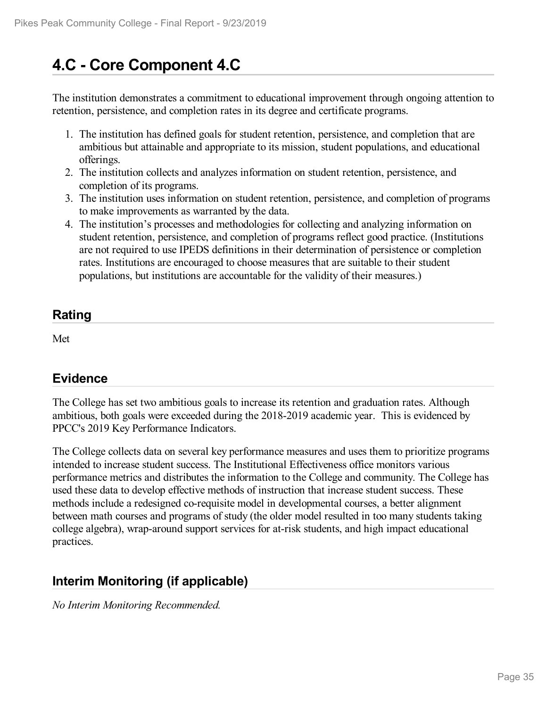# **4.C - Core Component 4.C**

The institution demonstrates a commitment to educational improvement through ongoing attention to retention, persistence, and completion rates in its degree and certificate programs.

- 1. The institution has defined goals for student retention, persistence, and completion that are ambitious but attainable and appropriate to its mission, student populations, and educational offerings.
- 2. The institution collects and analyzes information on student retention, persistence, and completion of its programs.
- 3. The institution uses information on student retention, persistence, and completion of programs to make improvements as warranted by the data.
- 4. The institution's processes and methodologies for collecting and analyzing information on student retention, persistence, and completion of programs reflect good practice. (Institutions are not required to use IPEDS definitions in their determination of persistence or completion rates. Institutions are encouraged to choose measures that are suitable to their student populations, but institutions are accountable for the validity of their measures.)

## **Rating**

Met

### **Evidence**

The College has set two ambitious goals to increase its retention and graduation rates. Although ambitious, both goals were exceeded during the 2018-2019 academic year. This is evidenced by PPCC's 2019 Key Performance Indicators.

The College collects data on several key performance measures and uses them to prioritize programs intended to increase student success. The Institutional Effectiveness office monitors various performance metrics and distributes the information to the College and community. The College has used these data to develop effective methods of instruction that increase student success. These methods include a redesigned co-requisite model in developmental courses, a better alignment between math courses and programs of study (the older model resulted in too many students taking college algebra), wrap-around support services for at-risk students, and high impact educational practices.

## **Interim Monitoring (if applicable)**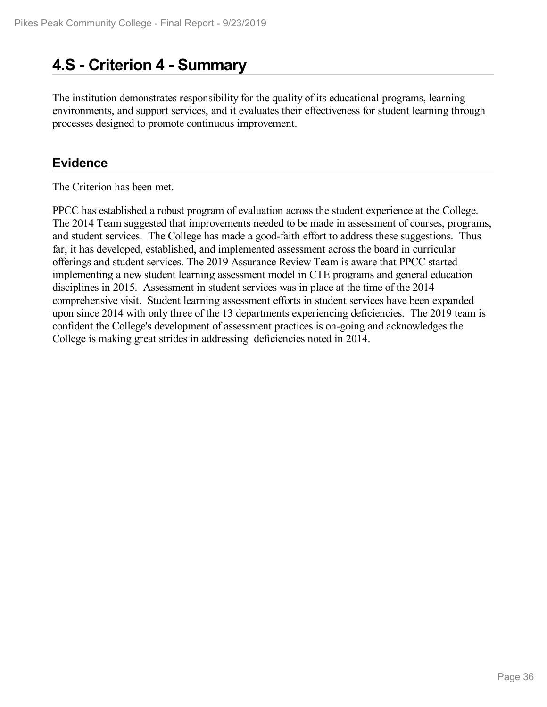# **4.S - Criterion 4 -Summary**

The institution demonstrates responsibility for the quality of its educational programs, learning environments, and support services, and it evaluates their effectiveness for student learning through processes designed to promote continuous improvement.

### **Evidence**

The Criterion has been met.

PPCC has established a robust program of evaluation across the student experience at the College. The 2014 Team suggested that improvements needed to be made in assessment of courses, programs, and student services. The College has made a good-faith effort to address these suggestions. Thus far, it has developed, established, and implemented assessment across the board in curricular offerings and student services. The 2019 Assurance Review Team is aware that PPCC started implementing a new student learning assessment model in CTE programs and general education disciplines in 2015. Assessment in student services was in place at the time of the 2014 comprehensive visit. Student learning assessment efforts in student services have been expanded upon since 2014 with only three of the 13 departments experiencing deficiencies. The 2019 team is confident the College's development of assessment practices is on-going and acknowledges the College is making great strides in addressing deficiencies noted in 2014.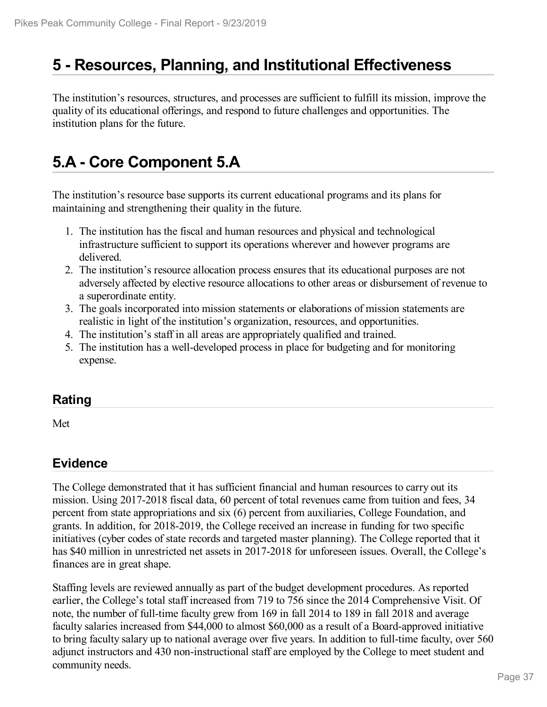## **5 -Resources, Planning, and Institutional Effectiveness**

The institution's resources, structures, and processes are sufficient to fulfill its mission, improve the quality of its educational offerings, and respond to future challenges and opportunities. The institution plans for the future.

# **5.A - Core Component 5.A**

The institution's resource base supports its current educational programs and its plans for maintaining and strengthening their quality in the future.

- 1. The institution has the fiscal and human resources and physical and technological infrastructure sufficient to support its operations wherever and however programs are delivered.
- 2. The institution's resource allocation process ensures that its educational purposes are not adversely affected by elective resource allocations to other areas or disbursement of revenue to a superordinate entity.
- 3. The goals incorporated into mission statements or elaborations of mission statements are realistic in light of the institution's organization, resources, and opportunities.
- 4. The institution's staff in all areas are appropriately qualified and trained.
- 5. The institution has a well-developed process in place for budgeting and for monitoring expense.

#### **Rating**

Met

### **Evidence**

The College demonstrated that it has sufficient financial and human resources to carry out its mission. Using 2017-2018 fiscal data, 60 percent of total revenues came from tuition and fees, 34 percent from state appropriations and six (6) percent from auxiliaries, College Foundation, and grants. In addition, for 2018-2019, the College received an increase in funding for two specific initiatives (cyber codes of state records and targeted master planning). The College reported that it has \$40 million in unrestricted net assets in 2017-2018 for unforeseen issues. Overall, the College's finances are in great shape.

Staffing levels are reviewed annually as part of the budget development procedures. As reported earlier, the College's total staff increased from 719 to 756 since the 2014 Comprehensive Visit. Of note, the number of full-time faculty grew from 169 in fall 2014 to 189 in fall 2018 and average faculty salaries increased from \$44,000 to almost \$60,000 as a result of a Board-approved initiative to bring faculty salary up to national average over five years. In addition to full-time faculty, over 560 adjunct instructors and 430 non-instructional staff are employed by the College to meet student and community needs.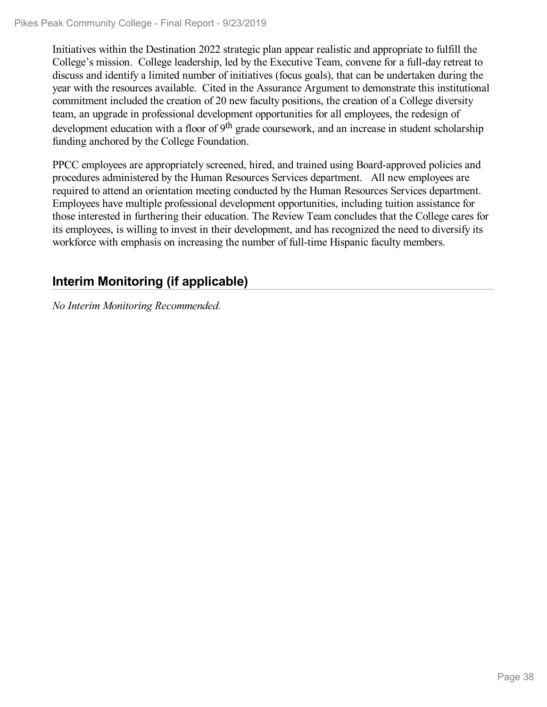Initiatives within the Destination 2022 strategic plan appear realistic and appropriate to fulfill the College's mission. College leadership, led by the Executive Team, convene for a full-day retreat to discuss and identify a limited number of initiatives (focus goals), that can be undertaken during the year with the resources available. Cited in the Assurance Argument to demonstrate this institutional commitment included the creation of 20 new faculty positions, the creation of a College diversity team, an upgrade in professional development opportunities for all employees, the redesign of development education with a floor of 9<sup>th</sup> grade coursework, and an increase in student scholarship funding anchored by the College Foundation.

PPCC employees are appropriately screened, hired, and trained using Board-approved policies and procedures administered by the Human Resources Services department. All new employees are required to attend an orientation meeting conducted by the Human Resources Services department. Employees have multiple professional development opportunities, including tuition assistance for those interested in furthering their education. The Review Team concludes that the College cares for its employees, is willing to invest in their development, and has recognized the need to diversify its workforce with emphasis on increasing the number of full-time Hispanic faculty members.

## **Interim Monitoring (if applicable)**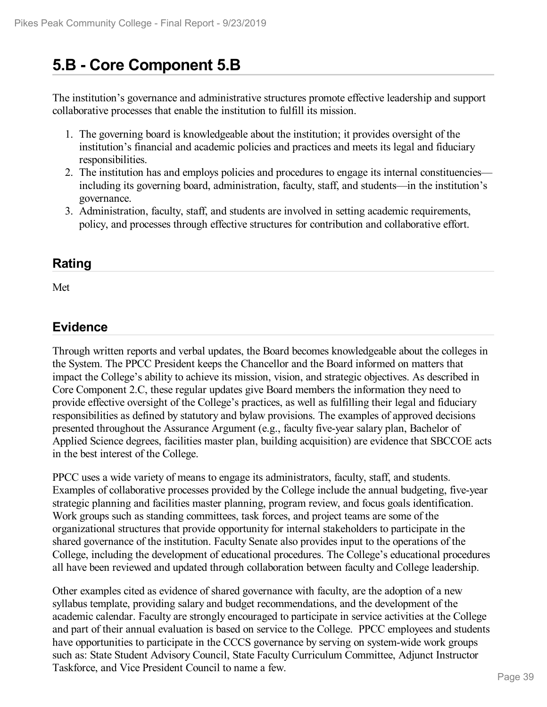# **5.B - Core Component 5.B**

The institution's governance and administrative structures promote effective leadership and support collaborative processes that enable the institution to fulfill its mission.

- 1. The governing board is knowledgeable about the institution; it provides oversight of the institution's financial and academic policies and practices and meets its legal and fiduciary responsibilities.
- 2. The institution has and employs policies and procedures to engage its internal constituencies including its governing board, administration, faculty, staff, and students—in the institution's governance.
- 3. Administration, faculty, staff, and students are involved in setting academic requirements, policy, and processes through effective structures for contribution and collaborative effort.

### **Rating**

Met

### **Evidence**

Through written reports and verbal updates, the Board becomes knowledgeable about the colleges in the System. The PPCC President keeps the Chancellor and the Board informed on matters that impact the College's ability to achieve its mission, vision, and strategic objectives. As described in Core Component 2.C, these regular updates give Board members the information they need to provide effective oversight of the College's practices, as well as fulfilling their legal and fiduciary responsibilities as defined by statutory and bylaw provisions. The examples of approved decisions presented throughout the Assurance Argument (e.g., faculty five-year salary plan, Bachelor of Applied Science degrees, facilities master plan, building acquisition) are evidence that SBCCOE acts in the best interest of the College.

PPCC uses a wide variety of means to engage its administrators, faculty, staff, and students. Examples of collaborative processes provided by the College include the annual budgeting, five-year strategic planning and facilities master planning, program review, and focus goals identification. Work groups such as standing committees, task forces, and project teams are some of the organizational structures that provide opportunity for internal stakeholders to participate in the shared governance of the institution. Faculty Senate also provides input to the operations of the College, including the development of educational procedures. The College's educational procedures all have been reviewed and updated through collaboration between faculty and College leadership.

Other examples cited as evidence of shared governance with faculty, are the adoption of a new syllabus template, providing salary and budget recommendations, and the development of the academic calendar. Faculty are strongly encouraged to participate in service activities at the College and part of their annual evaluation is based on service to the College. PPCC employees and students have opportunities to participate in the CCCS governance by serving on system-wide work groups such as: State Student Advisory Council, State Faculty Curriculum Committee, Adjunct Instructor Taskforce, and Vice President Council to name a few.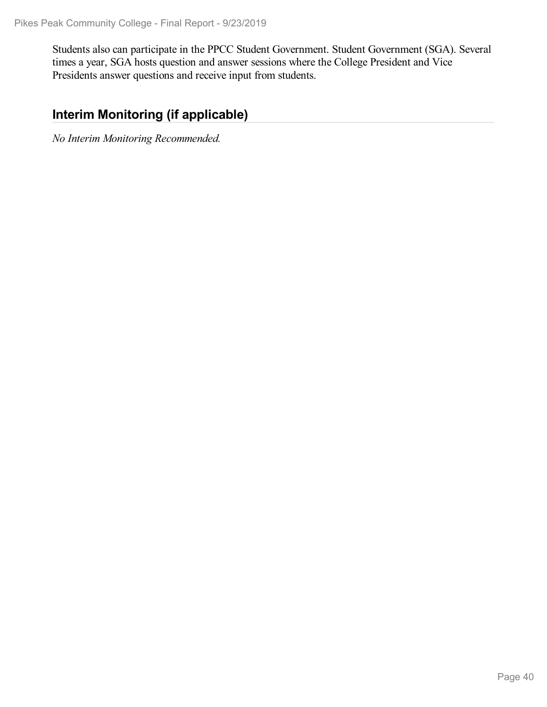Students also can participate in the PPCC Student Government. Student Government (SGA). Several times a year, SGA hosts question and answer sessions where the College President and Vice Presidents answer questions and receive input from students.

## **Interim Monitoring (if applicable)**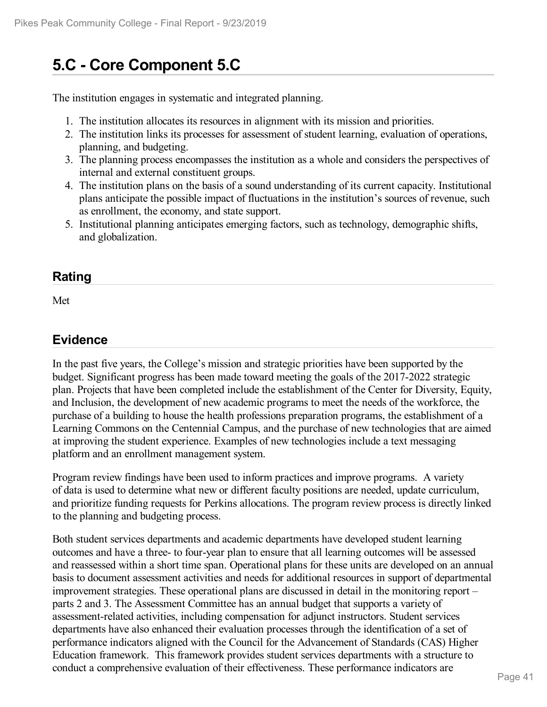# **5.C - Core Component 5.C**

The institution engages in systematic and integrated planning.

- 1. The institution allocates its resources in alignment with its mission and priorities.
- 2. The institution links its processes for assessment of student learning, evaluation of operations, planning, and budgeting.
- 3. The planning process encompasses the institution as a whole and considers the perspectives of internal and external constituent groups.
- 4. The institution plans on the basis of a sound understanding of its current capacity. Institutional plans anticipate the possible impact of fluctuations in the institution's sources of revenue, such as enrollment, the economy, and state support.
- 5. Institutional planning anticipates emerging factors, such as technology, demographic shifts, and globalization.

#### **Rating**

Met

### **Evidence**

In the past five years, the College's mission and strategic priorities have been supported by the budget. Significant progress has been made toward meeting the goals of the 2017-2022 strategic plan. Projects that have been completed include the establishment of the Center for Diversity, Equity, and Inclusion, the development of new academic programs to meet the needs of the workforce, the purchase of a building to house the health professions preparation programs, the establishment of a Learning Commons on the Centennial Campus, and the purchase of new technologies that are aimed at improving the student experience. Examples of new technologies include a text messaging platform and an enrollment management system.

Program review findings have been used to inform practices and improve programs. A variety of data is used to determine what new or different faculty positions are needed, update curriculum, and prioritize funding requests for Perkins allocations. The program review process is directly linked to the planning and budgeting process.

Both student services departments and academic departments have developed student learning outcomes and have a three- to four-year plan to ensure that all learning outcomes will be assessed and reassessed within a short time span. Operational plans for these units are developed on an annual basis to document assessment activities and needs for additional resources in support of departmental improvement strategies. These operational plans are discussed in detail in the monitoring report – parts 2 and 3. The Assessment Committee has an annual budget that supports a variety of assessment-related activities, including compensation for adjunct instructors. Student services departments have also enhanced their evaluation processes through the identification of a set of performance indicators aligned with the Council for the Advancement of Standards (CAS) Higher Education framework. This framework provides student services departments with a structure to conduct a comprehensive evaluation of their effectiveness. These performance indicators are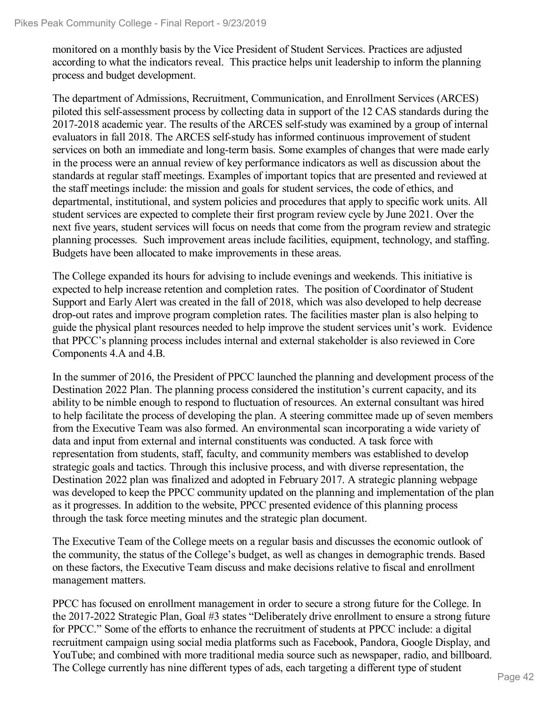monitored on a monthly basis by the Vice President of Student Services. Practices are adjusted according to what the indicators reveal. This practice helps unit leadership to inform the planning process and budget development.

The department of Admissions, Recruitment, Communication, and Enrollment Services (ARCES) piloted this self-assessment process by collecting data in support of the 12 CAS standards during the 2017-2018 academic year. The results of the ARCES self-study was examined by a group of internal evaluators in fall 2018. The ARCES self-study has informed continuous improvement of student services on both an immediate and long-term basis. Some examples of changes that were made early in the process were an annual review of key performance indicators as well as discussion about the standards at regular staff meetings. Examples of important topics that are presented and reviewed at the staff meetings include: the mission and goals for student services, the code of ethics, and departmental, institutional, and system policies and procedures that apply to specific work units. All student services are expected to complete their first program review cycle by June 2021. Over the next five years, student services will focus on needs that come from the program review and strategic planning processes. Such improvement areas include facilities, equipment, technology, and staffing. Budgets have been allocated to make improvements in these areas.

The College expanded its hours for advising to include evenings and weekends. This initiative is expected to help increase retention and completion rates. The position of Coordinator of Student Support and Early Alert was created in the fall of 2018, which was also developed to help decrease drop-out rates and improve program completion rates. The facilities master plan is also helping to guide the physical plant resources needed to help improve the student services unit's work. Evidence that PPCC's planning process includes internal and external stakeholder is also reviewed in Core Components 4.A and 4.B.

In the summer of 2016, the President of PPCC launched the planning and development process of the Destination 2022 Plan. The planning process considered the institution's current capacity, and its ability to be nimble enough to respond to fluctuation of resources. An external consultant was hired to help facilitate the process of developing the plan. A steering committee made up of seven members from the Executive Team was also formed. An environmental scan incorporating a wide variety of data and input from external and internal constituents was conducted. A task force with representation from students, staff, faculty, and community members was established to develop strategic goals and tactics. Through this inclusive process, and with diverse representation, the Destination 2022 plan was finalized and adopted in February 2017. A strategic planning webpage was developed to keep the PPCC community updated on the planning and implementation of the plan as it progresses. In addition to the website, PPCC presented evidence of this planning process through the task force meeting minutes and the strategic plan document.

The Executive Team of the College meets on a regular basis and discusses the economic outlook of the community, the status of the College's budget, as well as changes in demographic trends. Based on these factors, the Executive Team discuss and make decisions relative to fiscal and enrollment management matters.

PPCC has focused on enrollment management in order to secure a strong future for the College. In the 2017-2022 Strategic Plan, Goal #3 states "Deliberately drive enrollment to ensure a strong future for PPCC." Some of the efforts to enhance the recruitment of students at PPCC include: a digital recruitment campaign using social media platforms such as Facebook, Pandora, Google Display, and YouTube; and combined with more traditional media source such as newspaper, radio, and billboard. The College currently has nine different types of ads, each targeting a different type of student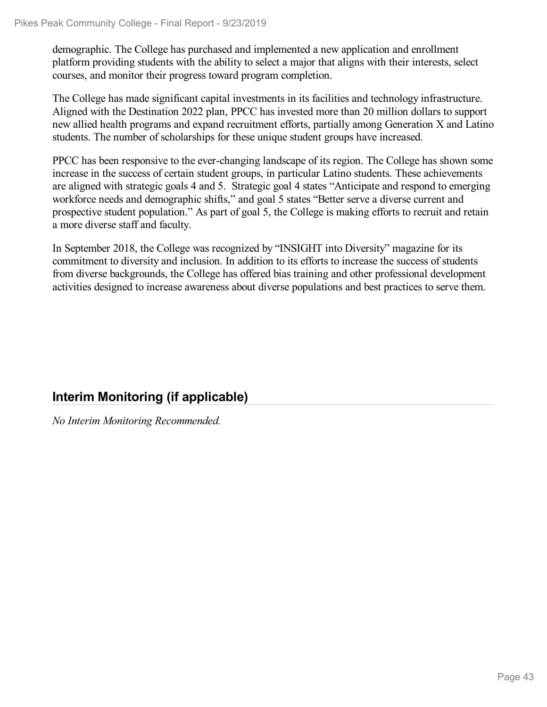demographic. The College has purchased and implemented a new application and enrollment platform providing students with the ability to select a major that aligns with their interests, select courses, and monitor their progress toward program completion.

The College has made significant capital investments in its facilities and technology infrastructure. Aligned with the Destination 2022 plan, PPCC has invested more than 20 million dollars to support new allied health programs and expand recruitment efforts, partially among Generation X and Latino students. The number of scholarships for these unique student groups have increased.

PPCC has been responsive to the ever-changing landscape of its region. The College has shown some increase in the success of certain student groups, in particular Latino students. These achievements are aligned with strategic goals 4 and 5. Strategic goal 4 states "Anticipate and respond to emerging workforce needs and demographic shifts," and goal 5 states "Better serve a diverse current and prospective student population." As part of goal 5, the College is making efforts to recruit and retain a more diverse staff and faculty.

In September 2018, the College was recognized by "INSIGHT into Diversity" magazine for its commitment to diversity and inclusion. In addition to its efforts to increase the success of students from diverse backgrounds, the College has offered bias training and other professional development activities designed to increase awareness about diverse populations and best practices to serve them.

## **Interim Monitoring (if applicable)**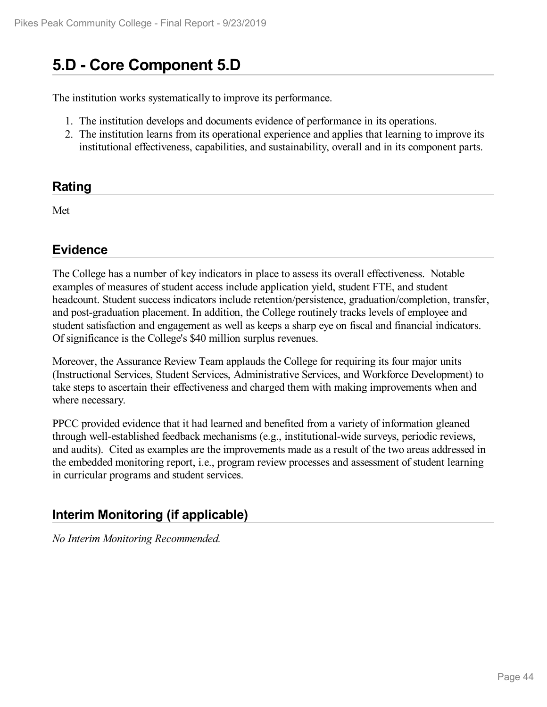# **5.D - Core Component 5.D**

The institution works systematically to improve its performance.

- 1. The institution develops and documents evidence of performance in its operations.
- 2. The institution learns from its operational experience and applies that learning to improve its institutional effectiveness, capabilities, and sustainability, overall and in its component parts.

#### **Rating**

Met

### **Evidence**

The College has a number of key indicators in place to assess its overall effectiveness. Notable examples of measures of student access include application yield, student FTE, and student headcount. Student success indicators include retention/persistence, graduation/completion, transfer, and post-graduation placement. In addition, the College routinely tracks levels of employee and student satisfaction and engagement as well as keeps a sharp eye on fiscal and financial indicators. Of significance is the College's \$40 million surplus revenues.

Moreover, the Assurance Review Team applauds the College for requiring its four major units (Instructional Services, Student Services, Administrative Services, and Workforce Development) to take steps to ascertain their effectiveness and charged them with making improvements when and where necessary.

PPCC provided evidence that it had learned and benefited from a variety of information gleaned through well-established feedback mechanisms (e.g., institutional-wide surveys, periodic reviews, and audits). Cited as examples are the improvements made as a result of the two areas addressed in the embedded monitoring report, i.e., program review processes and assessment of student learning in curricular programs and student services.

### **Interim Monitoring (if applicable)**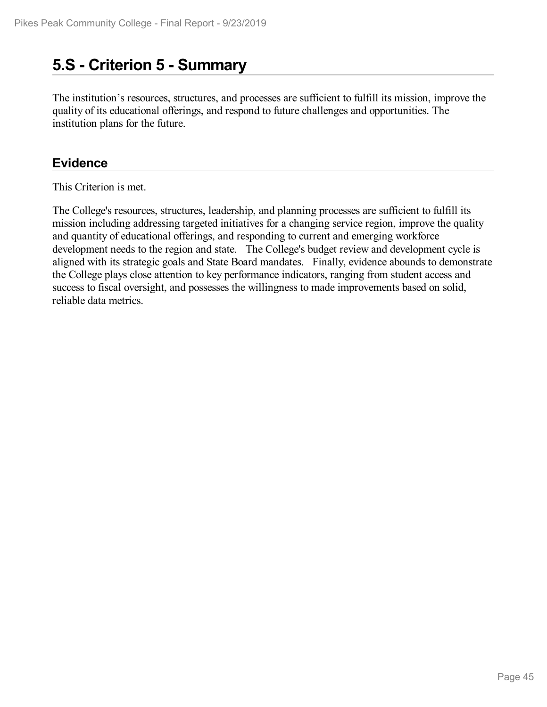## **5.S - Criterion 5 -Summary**

The institution's resources, structures, and processes are sufficient to fulfill its mission, improve the quality of its educational offerings, and respond to future challenges and opportunities. The institution plans for the future.

### **Evidence**

This Criterion is met.

The College's resources, structures, leadership, and planning processes are sufficient to fulfill its mission including addressing targeted initiatives for a changing service region, improve the quality and quantity of educational offerings, and responding to current and emerging workforce development needs to the region and state. The College's budget review and development cycle is aligned with its strategic goals and State Board mandates. Finally, evidence abounds to demonstrate the College plays close attention to key performance indicators, ranging from student access and success to fiscal oversight, and possesses the willingness to made improvements based on solid, reliable data metrics.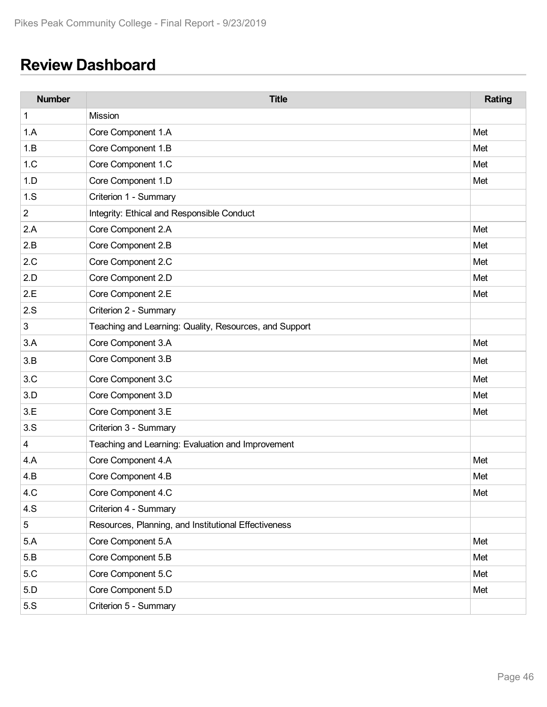# **Review Dashboard**

| <b>Number</b>  | <b>Title</b>                                           | Rating |
|----------------|--------------------------------------------------------|--------|
| 1              | Mission                                                |        |
| 1.A            | Core Component 1.A                                     | Met    |
| 1.B            | Core Component 1.B                                     | Met    |
| 1.C            | Core Component 1.C                                     | Met    |
| 1.D            | Core Component 1.D                                     | Met    |
| 1.S            | Criterion 1 - Summary                                  |        |
| $\overline{c}$ | Integrity: Ethical and Responsible Conduct             |        |
| 2.A            | Core Component 2.A                                     | Met    |
| 2.B            | Core Component 2.B                                     | Met    |
| 2.C            | Core Component 2.C                                     | Met    |
| 2.D            | Core Component 2.D                                     | Met    |
| 2.E            | Core Component 2.E                                     | Met    |
| 2.S            | Criterion 2 - Summary                                  |        |
| 3              | Teaching and Learning: Quality, Resources, and Support |        |
| 3.A            | Core Component 3.A                                     | Met    |
| 3.B            | Core Component 3.B                                     | Met    |
| 3.C            | Core Component 3.C                                     | Met    |
| 3.D            | Core Component 3.D                                     | Met    |
| 3.E            | Core Component 3.E                                     | Met    |
| 3.S            | Criterion 3 - Summary                                  |        |
| 4              | Teaching and Learning: Evaluation and Improvement      |        |
| 4.A            | Core Component 4.A                                     | Met    |
| 4.B            | Core Component 4.B                                     | Met    |
| 4.C            | Core Component 4.C                                     | Met    |
| 4.S            | Criterion 4 - Summary                                  |        |
| 5              | Resources, Planning, and Institutional Effectiveness   |        |
| 5.A            | Core Component 5.A                                     | Met    |
| 5.B            | Core Component 5.B                                     | Met    |
| 5.C            | Core Component 5.C                                     | Met    |
| 5.D            | Core Component 5.D                                     | Met    |
| 5.S            | Criterion 5 - Summary                                  |        |